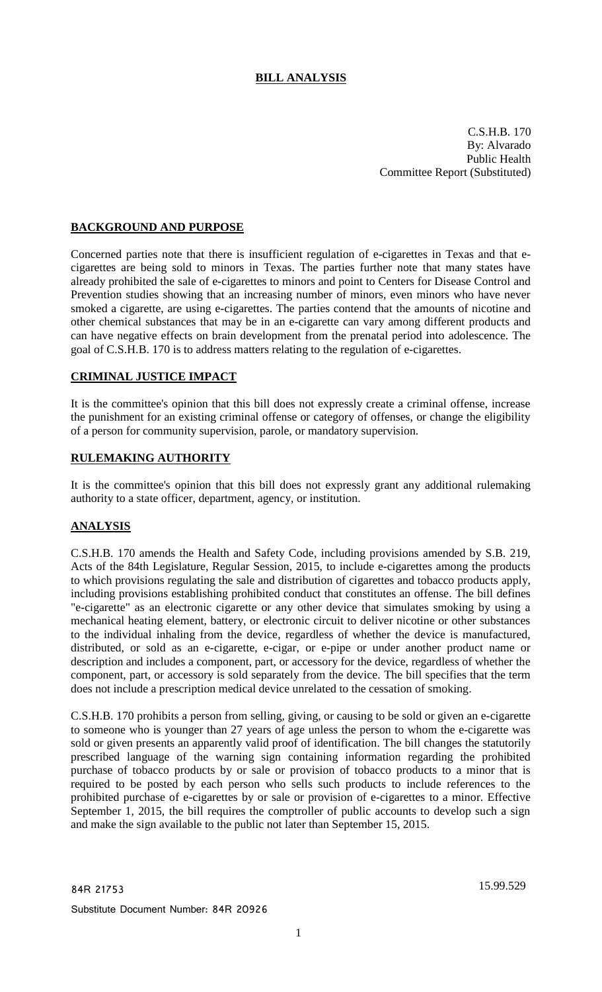# **BILL ANALYSIS**

C.S.H.B. 170 By: Alvarado Public Health Committee Report (Substituted)

# **BACKGROUND AND PURPOSE**

Concerned parties note that there is insufficient regulation of e-cigarettes in Texas and that ecigarettes are being sold to minors in Texas. The parties further note that many states have already prohibited the sale of e-cigarettes to minors and point to Centers for Disease Control and Prevention studies showing that an increasing number of minors, even minors who have never smoked a cigarette, are using e-cigarettes. The parties contend that the amounts of nicotine and other chemical substances that may be in an e-cigarette can vary among different products and can have negative effects on brain development from the prenatal period into adolescence. The goal of C.S.H.B. 170 is to address matters relating to the regulation of e-cigarettes.

## **CRIMINAL JUSTICE IMPACT**

It is the committee's opinion that this bill does not expressly create a criminal offense, increase the punishment for an existing criminal offense or category of offenses, or change the eligibility of a person for community supervision, parole, or mandatory supervision.

# **RULEMAKING AUTHORITY**

It is the committee's opinion that this bill does not expressly grant any additional rulemaking authority to a state officer, department, agency, or institution.

## **ANALYSIS**

C.S.H.B. 170 amends the Health and Safety Code, including provisions amended by S.B. 219, Acts of the 84th Legislature, Regular Session, 2015, to include e-cigarettes among the products to which provisions regulating the sale and distribution of cigarettes and tobacco products apply, including provisions establishing prohibited conduct that constitutes an offense. The bill defines "e-cigarette" as an electronic cigarette or any other device that simulates smoking by using a mechanical heating element, battery, or electronic circuit to deliver nicotine or other substances to the individual inhaling from the device, regardless of whether the device is manufactured, distributed, or sold as an e-cigarette, e-cigar, or e-pipe or under another product name or description and includes a component, part, or accessory for the device, regardless of whether the component, part, or accessory is sold separately from the device. The bill specifies that the term does not include a prescription medical device unrelated to the cessation of smoking.

C.S.H.B. 170 prohibits a person from selling, giving, or causing to be sold or given an e-cigarette to someone who is younger than 27 years of age unless the person to whom the e-cigarette was sold or given presents an apparently valid proof of identification. The bill changes the statutorily prescribed language of the warning sign containing information regarding the prohibited purchase of tobacco products by or sale or provision of tobacco products to a minor that is required to be posted by each person who sells such products to include references to the prohibited purchase of e-cigarettes by or sale or provision of e-cigarettes to a minor. Effective September 1, 2015, the bill requires the comptroller of public accounts to develop such a sign and make the sign available to the public not later than September 15, 2015.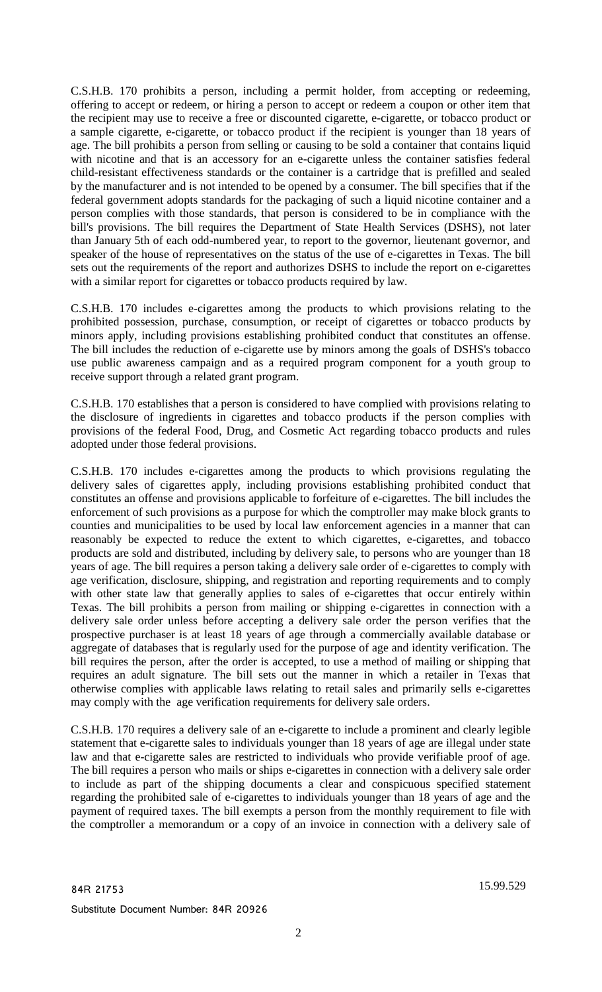C.S.H.B. 170 prohibits a person, including a permit holder, from accepting or redeeming, offering to accept or redeem, or hiring a person to accept or redeem a coupon or other item that the recipient may use to receive a free or discounted cigarette, e-cigarette, or tobacco product or a sample cigarette, e-cigarette, or tobacco product if the recipient is younger than 18 years of age. The bill prohibits a person from selling or causing to be sold a container that contains liquid with nicotine and that is an accessory for an e-cigarette unless the container satisfies federal child-resistant effectiveness standards or the container is a cartridge that is prefilled and sealed by the manufacturer and is not intended to be opened by a consumer. The bill specifies that if the federal government adopts standards for the packaging of such a liquid nicotine container and a person complies with those standards, that person is considered to be in compliance with the bill's provisions. The bill requires the Department of State Health Services (DSHS), not later than January 5th of each odd-numbered year, to report to the governor, lieutenant governor, and speaker of the house of representatives on the status of the use of e-cigarettes in Texas. The bill sets out the requirements of the report and authorizes DSHS to include the report on e-cigarettes with a similar report for cigarettes or tobacco products required by law.

C.S.H.B. 170 includes e-cigarettes among the products to which provisions relating to the prohibited possession, purchase, consumption, or receipt of cigarettes or tobacco products by minors apply, including provisions establishing prohibited conduct that constitutes an offense. The bill includes the reduction of e-cigarette use by minors among the goals of DSHS's tobacco use public awareness campaign and as a required program component for a youth group to receive support through a related grant program.

C.S.H.B. 170 establishes that a person is considered to have complied with provisions relating to the disclosure of ingredients in cigarettes and tobacco products if the person complies with provisions of the federal Food, Drug, and Cosmetic Act regarding tobacco products and rules adopted under those federal provisions.

C.S.H.B. 170 includes e-cigarettes among the products to which provisions regulating the delivery sales of cigarettes apply, including provisions establishing prohibited conduct that constitutes an offense and provisions applicable to forfeiture of e-cigarettes. The bill includes the enforcement of such provisions as a purpose for which the comptroller may make block grants to counties and municipalities to be used by local law enforcement agencies in a manner that can reasonably be expected to reduce the extent to which cigarettes, e-cigarettes, and tobacco products are sold and distributed, including by delivery sale, to persons who are younger than 18 years of age. The bill requires a person taking a delivery sale order of e-cigarettes to comply with age verification, disclosure, shipping, and registration and reporting requirements and to comply with other state law that generally applies to sales of e-cigarettes that occur entirely within Texas. The bill prohibits a person from mailing or shipping e-cigarettes in connection with a delivery sale order unless before accepting a delivery sale order the person verifies that the prospective purchaser is at least 18 years of age through a commercially available database or aggregate of databases that is regularly used for the purpose of age and identity verification. The bill requires the person, after the order is accepted, to use a method of mailing or shipping that requires an adult signature. The bill sets out the manner in which a retailer in Texas that otherwise complies with applicable laws relating to retail sales and primarily sells e-cigarettes may comply with the age verification requirements for delivery sale orders.

C.S.H.B. 170 requires a delivery sale of an e-cigarette to include a prominent and clearly legible statement that e-cigarette sales to individuals younger than 18 years of age are illegal under state law and that e-cigarette sales are restricted to individuals who provide verifiable proof of age. The bill requires a person who mails or ships e-cigarettes in connection with a delivery sale order to include as part of the shipping documents a clear and conspicuous specified statement regarding the prohibited sale of e-cigarettes to individuals younger than 18 years of age and the payment of required taxes. The bill exempts a person from the monthly requirement to file with the comptroller a memorandum or a copy of an invoice in connection with a delivery sale of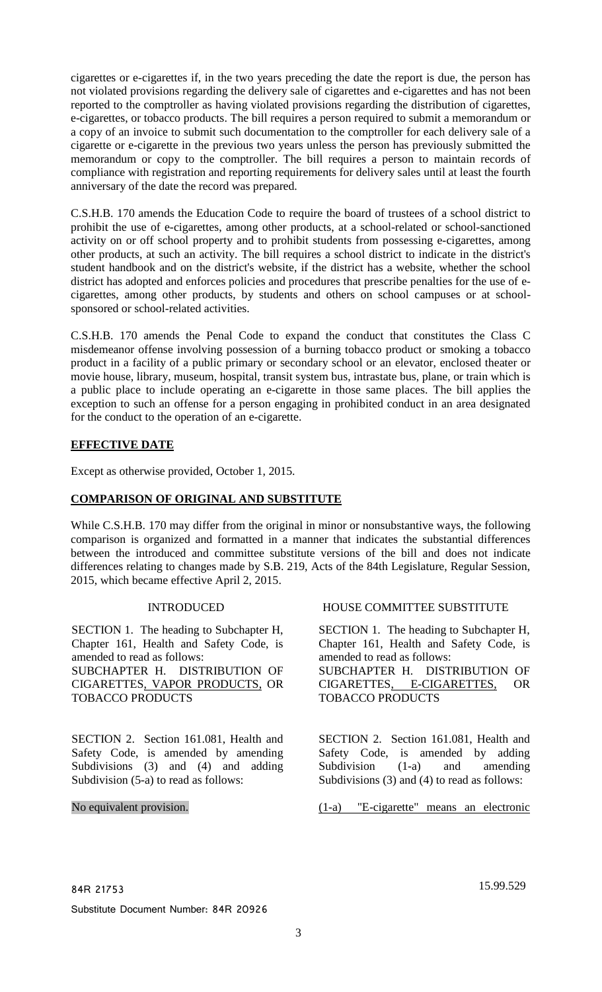cigarettes or e-cigarettes if, in the two years preceding the date the report is due, the person has not violated provisions regarding the delivery sale of cigarettes and e-cigarettes and has not been reported to the comptroller as having violated provisions regarding the distribution of cigarettes, e-cigarettes, or tobacco products. The bill requires a person required to submit a memorandum or a copy of an invoice to submit such documentation to the comptroller for each delivery sale of a cigarette or e-cigarette in the previous two years unless the person has previously submitted the memorandum or copy to the comptroller. The bill requires a person to maintain records of compliance with registration and reporting requirements for delivery sales until at least the fourth anniversary of the date the record was prepared.

C.S.H.B. 170 amends the Education Code to require the board of trustees of a school district to prohibit the use of e-cigarettes, among other products, at a school-related or school-sanctioned activity on or off school property and to prohibit students from possessing e-cigarettes, among other products, at such an activity. The bill requires a school district to indicate in the district's student handbook and on the district's website, if the district has a website, whether the school district has adopted and enforces policies and procedures that prescribe penalties for the use of ecigarettes, among other products, by students and others on school campuses or at schoolsponsored or school-related activities.

C.S.H.B. 170 amends the Penal Code to expand the conduct that constitutes the Class C misdemeanor offense involving possession of a burning tobacco product or smoking a tobacco product in a facility of a public primary or secondary school or an elevator, enclosed theater or movie house, library, museum, hospital, transit system bus, intrastate bus, plane, or train which is a public place to include operating an e-cigarette in those same places. The bill applies the exception to such an offense for a person engaging in prohibited conduct in an area designated for the conduct to the operation of an e-cigarette.

# **EFFECTIVE DATE**

Except as otherwise provided, October 1, 2015.

# **COMPARISON OF ORIGINAL AND SUBSTITUTE**

While C.S.H.B. 170 may differ from the original in minor or nonsubstantive ways, the following comparison is organized and formatted in a manner that indicates the substantial differences between the introduced and committee substitute versions of the bill and does not indicate differences relating to changes made by S.B. 219, Acts of the 84th Legislature, Regular Session, 2015, which became effective April 2, 2015.

SECTION 1. The heading to Subchapter H, Chapter 161, Health and Safety Code, is amended to read as follows: SUBCHAPTER H. DISTRIBUTION OF CIGARETTES, VAPOR PRODUCTS, OR TOBACCO PRODUCTS

SECTION 2. Section 161.081, Health and Safety Code, is amended by amending Subdivisions (3) and (4) and adding Subdivision (5-a) to read as follows:

### No equivalent provision.

INTRODUCED HOUSE COMMITTEE SUBSTITUTE

SECTION 1. The heading to Subchapter H, Chapter 161, Health and Safety Code, is amended to read as follows: SUBCHAPTER H. DISTRIBUTION OF CIGARETTES, E-CIGARETTES, OR TOBACCO PRODUCTS

SECTION 2. Section 161.081, Health and Safety Code, is amended by adding Subdivision (1-a) and amending Subdivisions (3) and (4) to read as follows:

(1-a) "E-cigarette" means an electronic

84R 21753 15.99.529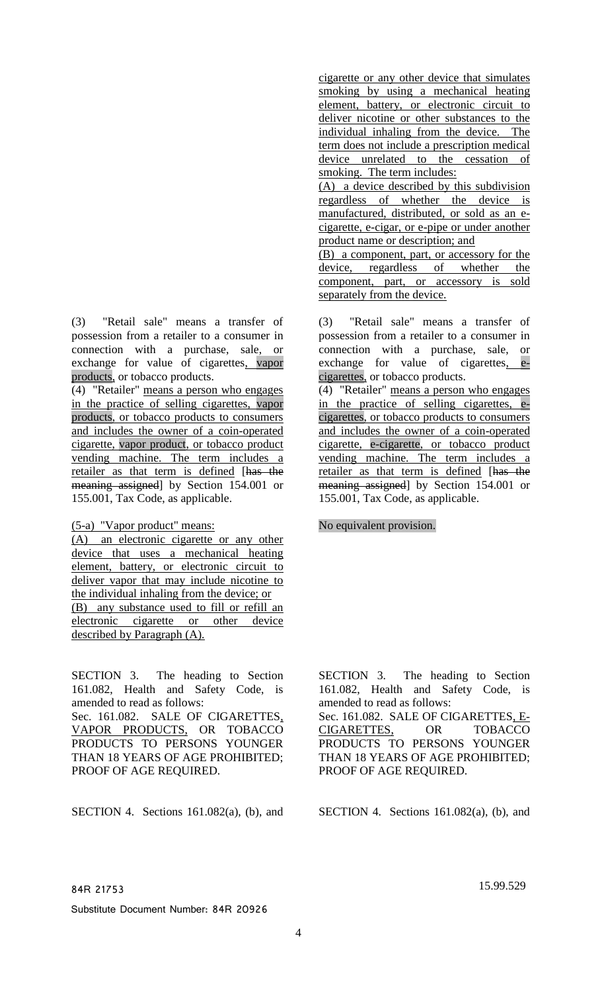(3) "Retail sale" means a transfer of possession from a retailer to a consumer in connection with a purchase, sale, or exchange for value of cigarettes, vapor products, or tobacco products.

(4) "Retailer" means a person who engages in the practice of selling cigarettes, vapor products, or tobacco products to consumers and includes the owner of a coin-operated cigarette, vapor product, or tobacco product vending machine. The term includes a retailer as that term is defined [has the meaning assigned] by Section 154.001 or 155.001, Tax Code, as applicable.

(5-a) "Vapor product" means:

(A) an electronic cigarette or any other device that uses a mechanical heating element, battery, or electronic circuit to deliver vapor that may include nicotine to the individual inhaling from the device; or (B) any substance used to fill or refill an electronic cigarette or other device described by Paragraph (A).

SECTION 3. The heading to Section 161.082, Health and Safety Code, is amended to read as follows:

Sec. 161.082. SALE OF CIGARETTES, VAPOR PRODUCTS, OR TOBACCO PRODUCTS TO PERSONS YOUNGER THAN 18 YEARS OF AGE PROHIBITED; PROOF OF AGE REQUIRED.

cigarette or any other device that simulates smoking by using a mechanical heating element, battery, or electronic circuit to deliver nicotine or other substances to the individual inhaling from the device. The term does not include a prescription medical device unrelated to the cessation of smoking. The term includes:

(A) a device described by this subdivision regardless of whether the device is manufactured, distributed, or sold as an ecigarette, e-cigar, or e-pipe or under another product name or description; and

(B) a component, part, or accessory for the device, regardless of whether the component, part, or accessory is sold separately from the device.

(3) "Retail sale" means a transfer of possession from a retailer to a consumer in connection with a purchase, sale, or exchange for value of cigarettes, ecigarettes, or tobacco products.

(4) "Retailer" means a person who engages in the practice of selling cigarettes, ecigarettes, or tobacco products to consumers and includes the owner of a coin-operated cigarette, e-cigarette, or tobacco product vending machine. The term includes a retailer as that term is defined [has the meaning assigned] by Section 154.001 or 155.001, Tax Code, as applicable.

No equivalent provision.

SECTION 3. The heading to Section 161.082, Health and Safety Code, is amended to read as follows:

Sec. 161.082. SALE OF CIGARETTES, E-CIGARETTES, OR TOBACCO PRODUCTS TO PERSONS YOUNGER THAN 18 YEARS OF AGE PROHIBITED; PROOF OF AGE REQUIRED.

SECTION 4. Sections  $161.082(a)$ , (b), and SECTION 4. Sections  $161.082(a)$ , (b), and

84R 21753 15.99.529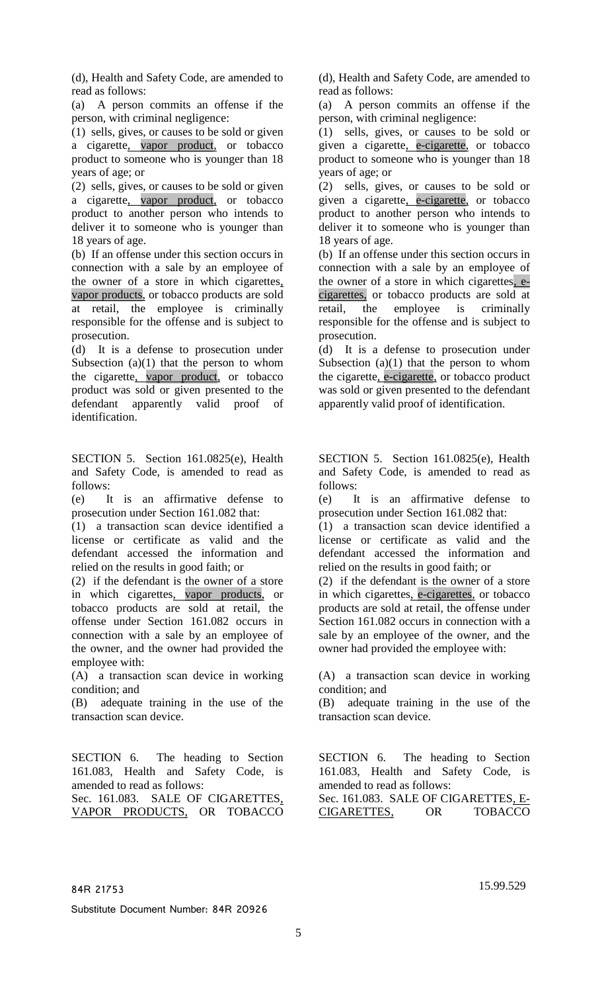(d), Health and Safety Code, are amended to read as follows:

(a) A person commits an offense if the person, with criminal negligence:

(1) sells, gives, or causes to be sold or given a cigarette, vapor product, or tobacco product to someone who is younger than 18 years of age; or

(2) sells, gives, or causes to be sold or given a cigarette, vapor product, or tobacco product to another person who intends to deliver it to someone who is younger than 18 years of age.

(b) If an offense under this section occurs in connection with a sale by an employee of the owner of a store in which cigarettes, vapor products, or tobacco products are sold at retail, the employee is criminally responsible for the offense and is subject to prosecution.

(d) It is a defense to prosecution under Subsection  $(a)(1)$  that the person to whom the cigarette, vapor product, or tobacco product was sold or given presented to the defendant apparently valid proof of identification.

SECTION 5. Section 161.0825(e), Health and Safety Code, is amended to read as follows:

(e) It is an affirmative defense to prosecution under Section 161.082 that:

(1) a transaction scan device identified a license or certificate as valid and the defendant accessed the information and relied on the results in good faith; or

(2) if the defendant is the owner of a store in which cigarettes, vapor products, or tobacco products are sold at retail, the offense under Section 161.082 occurs in connection with a sale by an employee of the owner, and the owner had provided the employee with:

(A) a transaction scan device in working condition; and

(B) adequate training in the use of the transaction scan device.

SECTION 6. The heading to Section 161.083, Health and Safety Code, is amended to read as follows: Sec. 161.083. SALE OF CIGARETTES,

VAPOR PRODUCTS, OR TOBACCO

(d), Health and Safety Code, are amended to read as follows:

(a) A person commits an offense if the person, with criminal negligence:

(1) sells, gives, or causes to be sold or given a cigarette, e-cigarette, or tobacco product to someone who is younger than 18 years of age; or

(2) sells, gives, or causes to be sold or given a cigarette, e-cigarette, or tobacco product to another person who intends to deliver it to someone who is younger than 18 years of age.

(b) If an offense under this section occurs in connection with a sale by an employee of the owner of a store in which cigarettes, ecigarettes, or tobacco products are sold at retail, the employee is criminally responsible for the offense and is subject to prosecution.

(d) It is a defense to prosecution under Subsection  $(a)(1)$  that the person to whom the cigarette, e-cigarette, or tobacco product was sold or given presented to the defendant apparently valid proof of identification.

SECTION 5. Section 161.0825(e), Health and Safety Code, is amended to read as follows:

(e) It is an affirmative defense to prosecution under Section 161.082 that:

(1) a transaction scan device identified a license or certificate as valid and the defendant accessed the information and relied on the results in good faith; or

(2) if the defendant is the owner of a store in which cigarettes, e-cigarettes, or tobacco products are sold at retail, the offense under Section 161.082 occurs in connection with a sale by an employee of the owner, and the owner had provided the employee with:

(A) a transaction scan device in working condition; and

(B) adequate training in the use of the transaction scan device.

SECTION 6. The heading to Section 161.083, Health and Safety Code, is amended to read as follows: Sec. 161.083. SALE OF CIGARETTES, E-CIGARETTES, OR TOBACCO

84R 21753 15.99.529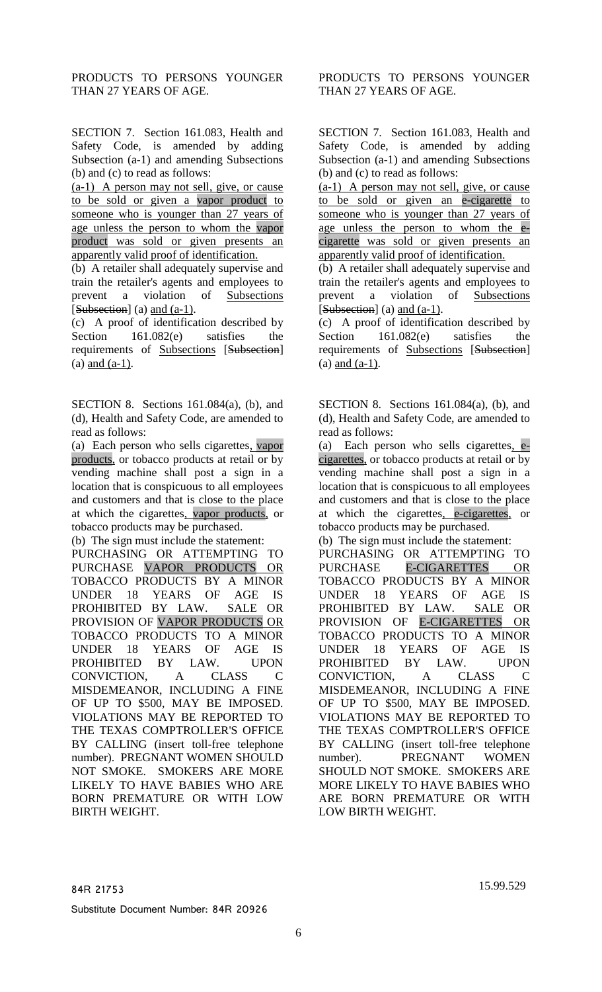PRODUCTS TO PERSONS YOUNGER THAN 27 YEARS OF AGE.

SECTION 7. Section 161.083, Health and Safety Code, is amended by adding Subsection (a-1) and amending Subsections (b) and (c) to read as follows:

(a-1) A person may not sell, give, or cause to be sold or given a vapor product to someone who is younger than 27 years of age unless the person to whom the vapor product was sold or given presents an apparently valid proof of identification.

(b) A retailer shall adequately supervise and train the retailer's agents and employees to prevent a violation of Subsections [Subsection] (a) and  $(a-1)$ .

(c) A proof of identification described by Section 161.082(e) satisfies the requirements of Subsections [Subsection] (a) and (a-1).

SECTION 8. Sections 161.084(a), (b), and (d), Health and Safety Code, are amended to read as follows:

(a) Each person who sells cigarettes, vapor products, or tobacco products at retail or by vending machine shall post a sign in a location that is conspicuous to all employees and customers and that is close to the place at which the cigarettes, vapor products, or tobacco products may be purchased.

(b) The sign must include the statement:

PURCHASING OR ATTEMPTING TO PURCHASE VAPOR PRODUCTS OR TOBACCO PRODUCTS BY A MINOR UNDER 18 YEARS OF AGE IS PROHIBITED BY LAW. SALE OR PROVISION OF VAPOR PRODUCTS OR TOBACCO PRODUCTS TO A MINOR UNDER 18 YEARS OF AGE IS PROHIBITED BY LAW. UPON CONVICTION, A CLASS C MISDEMEANOR, INCLUDING A FINE OF UP TO \$500, MAY BE IMPOSED. VIOLATIONS MAY BE REPORTED TO THE TEXAS COMPTROLLER'S OFFICE BY CALLING (insert toll-free telephone number). PREGNANT WOMEN SHOULD NOT SMOKE. SMOKERS ARE MORE LIKELY TO HAVE BABIES WHO ARE BORN PREMATURE OR WITH LOW BIRTH WEIGHT.

PRODUCTS TO PERSONS YOUNGER THAN 27 YEARS OF AGE.

SECTION 7. Section 161.083, Health and Safety Code, is amended by adding Subsection (a-1) and amending Subsections (b) and (c) to read as follows:

(a-1) A person may not sell, give, or cause to be sold or given an e-cigarette to someone who is younger than 27 years of age unless the person to whom the ecigarette was sold or given presents an apparently valid proof of identification.

(b) A retailer shall adequately supervise and train the retailer's agents and employees to prevent a violation of Subsections [Subsection] (a) and  $(a-1)$ .

(c) A proof of identification described by Section 161.082(e) satisfies the requirements of Subsections [Subsection] (a) and (a-1).

SECTION 8. Sections 161.084(a), (b), and (d), Health and Safety Code, are amended to read as follows:

(a) Each person who sells cigarettes, ecigarettes, or tobacco products at retail or by vending machine shall post a sign in a location that is conspicuous to all employees and customers and that is close to the place at which the cigarettes, e-cigarettes, or tobacco products may be purchased.

(b) The sign must include the statement: PURCHASING OR ATTEMPTING TO<br>PURCHASE E-CIGARETTES OR E-CIGARETTES OR TOBACCO PRODUCTS BY A MINOR UNDER 18 YEARS OF AGE IS PROHIBITED BY LAW. SALE OR PROVISION OF E-CIGARETTES OR TOBACCO PRODUCTS TO A MINOR UNDER 18 YEARS OF AGE IS PROHIBITED BY LAW. UPON CONVICTION, A CLASS C MISDEMEANOR, INCLUDING A FINE OF UP TO \$500, MAY BE IMPOSED. VIOLATIONS MAY BE REPORTED TO THE TEXAS COMPTROLLER'S OFFICE BY CALLING (insert toll-free telephone number). PREGNANT WOMEN SHOULD NOT SMOKE. SMOKERS ARE MORE LIKELY TO HAVE BABIES WHO ARE BORN PREMATURE OR WITH LOW BIRTH WEIGHT.

84R 21753 15.99.529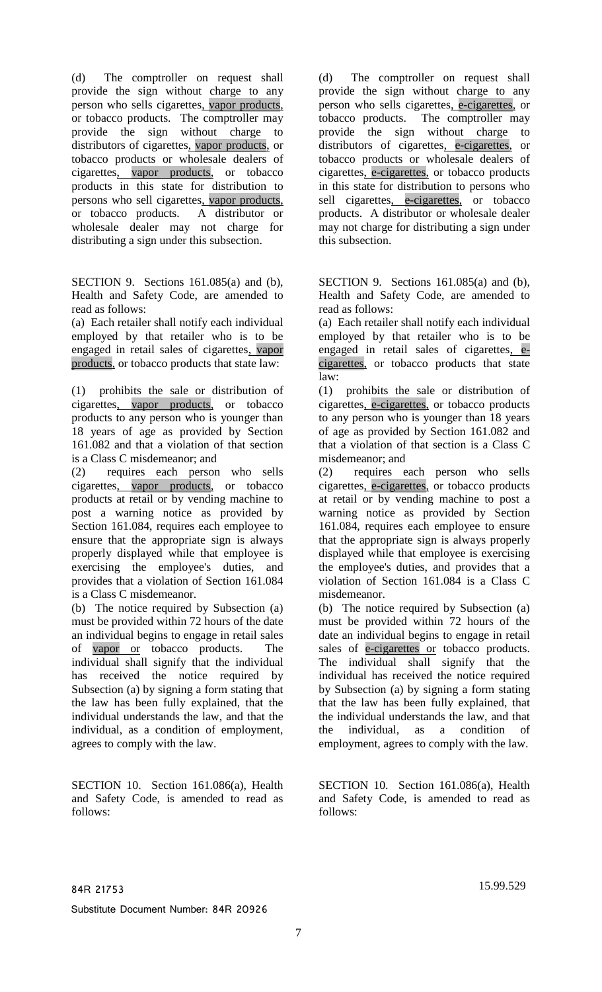(d) The comptroller on request shall provide the sign without charge to any person who sells cigarettes, vapor products, or tobacco products. The comptroller may provide the sign without charge to distributors of cigarettes, vapor products, or tobacco products or wholesale dealers of cigarettes, vapor products, or tobacco products in this state for distribution to persons who sell cigarettes, vapor products,<br>or tobacco products. A distributor or or tobacco products. wholesale dealer may not charge for distributing a sign under this subsection.

SECTION 9. Sections 161.085(a) and (b), Health and Safety Code, are amended to read as follows:

(a) Each retailer shall notify each individual employed by that retailer who is to be engaged in retail sales of cigarettes, vapor products, or tobacco products that state law:

(1) prohibits the sale or distribution of cigarettes, vapor products, or tobacco products to any person who is younger than 18 years of age as provided by Section 161.082 and that a violation of that section is a Class C misdemeanor; and

(2) requires each person who sells cigarettes, vapor products, or tobacco products at retail or by vending machine to post a warning notice as provided by Section 161.084, requires each employee to ensure that the appropriate sign is always properly displayed while that employee is exercising the employee's duties, and provides that a violation of Section 161.084 is a Class C misdemeanor.

(b) The notice required by Subsection (a) must be provided within 72 hours of the date an individual begins to engage in retail sales of vapor or tobacco products. The individual shall signify that the individual has received the notice required by Subsection (a) by signing a form stating that the law has been fully explained, that the individual understands the law, and that the individual, as a condition of employment, agrees to comply with the law.

SECTION 10. Section 161.086(a), Health and Safety Code, is amended to read as follows:

(d) The comptroller on request shall provide the sign without charge to any person who sells cigarettes, e-cigarettes, or tobacco products. The comptroller may provide the sign without charge to distributors of cigarettes, e-cigarettes, or tobacco products or wholesale dealers of cigarettes, e-cigarettes, or tobacco products in this state for distribution to persons who sell cigarettes, e-cigarettes, or tobacco products. A distributor or wholesale dealer may not charge for distributing a sign under this subsection.

SECTION 9. Sections 161.085(a) and (b), Health and Safety Code, are amended to read as follows:

(a) Each retailer shall notify each individual employed by that retailer who is to be engaged in retail sales of cigarettes, ecigarettes, or tobacco products that state law:

(1) prohibits the sale or distribution of cigarettes, e-cigarettes, or tobacco products to any person who is younger than 18 years of age as provided by Section 161.082 and that a violation of that section is a Class C misdemeanor; and

(2) requires each person who sells cigarettes, e-cigarettes, or tobacco products at retail or by vending machine to post a warning notice as provided by Section 161.084, requires each employee to ensure that the appropriate sign is always properly displayed while that employee is exercising the employee's duties, and provides that a violation of Section 161.084 is a Class C misdemeanor.

(b) The notice required by Subsection (a) must be provided within 72 hours of the date an individual begins to engage in retail sales of e-cigarettes or tobacco products. The individual shall signify that the individual has received the notice required by Subsection (a) by signing a form stating that the law has been fully explained, that the individual understands the law, and that the individual, as a condition of employment, agrees to comply with the law.

SECTION 10. Section 161.086(a), Health and Safety Code, is amended to read as follows:

84R 21753 15.99.529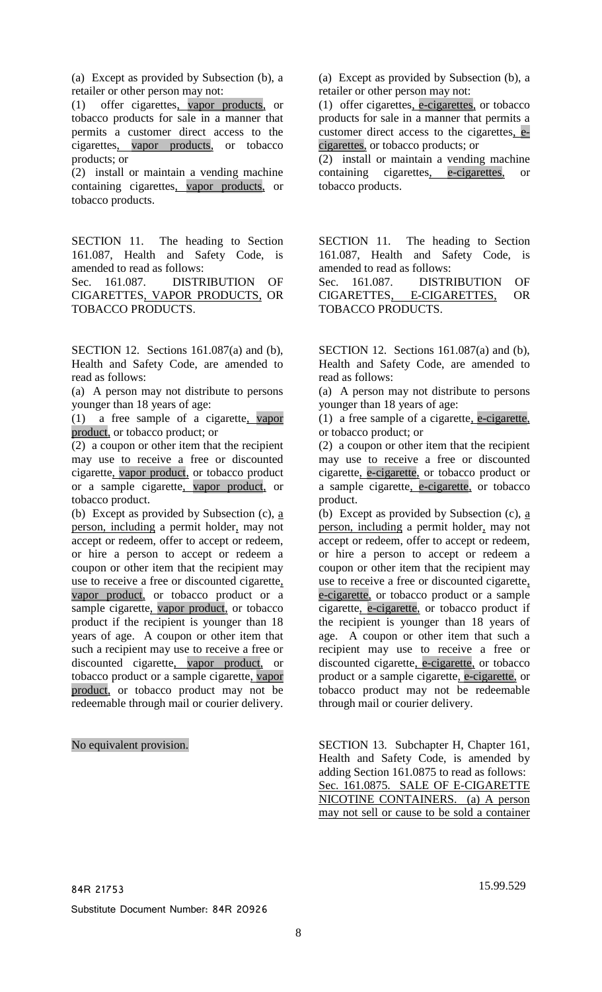(a) Except as provided by Subsection (b), a retailer or other person may not:

(1) offer cigarettes, vapor products, or tobacco products for sale in a manner that permits a customer direct access to the cigarettes, vapor products, or tobacco products; or

(2) install or maintain a vending machine containing cigarettes, vapor products, or tobacco products.

SECTION 11. The heading to Section 161.087, Health and Safety Code, is amended to read as follows:

Sec. 161.087. DISTRIBUTION OF CIGARETTES, VAPOR PRODUCTS, OR TOBACCO PRODUCTS.

SECTION 12. Sections 161.087(a) and (b), Health and Safety Code, are amended to read as follows:

(a) A person may not distribute to persons younger than 18 years of age:

(1) a free sample of a cigarette, vapor product, or tobacco product; or

(2) a coupon or other item that the recipient may use to receive a free or discounted cigarette, vapor product, or tobacco product or a sample cigarette, vapor product, or tobacco product.

(b) Except as provided by Subsection (c),  $\underline{a}$ person, including a permit holder, may not accept or redeem, offer to accept or redeem, or hire a person to accept or redeem a coupon or other item that the recipient may use to receive a free or discounted cigarette, vapor product, or tobacco product or a sample cigarette, vapor product, or tobacco product if the recipient is younger than 18 years of age. A coupon or other item that such a recipient may use to receive a free or discounted cigarette, vapor product, or tobacco product or a sample cigarette, vapor product, or tobacco product may not be redeemable through mail or courier delivery.

(a) Except as provided by Subsection (b), a retailer or other person may not:

(1) offer cigarettes, e-cigarettes, or tobacco products for sale in a manner that permits a customer direct access to the cigarettes, ecigarettes, or tobacco products; or

(2) install or maintain a vending machine containing cigarettes, e-cigarettes, or tobacco products.

SECTION 11. The heading to Section 161.087, Health and Safety Code, is amended to read as follows:

Sec. 161.087. DISTRIBUTION OF CIGARETTES, E-CIGARETTES, OR TOBACCO PRODUCTS.

SECTION 12. Sections 161.087(a) and (b), Health and Safety Code, are amended to read as follows:

(a) A person may not distribute to persons younger than 18 years of age:

(1) a free sample of a cigarette, e-cigarette, or tobacco product; or

(2) a coupon or other item that the recipient may use to receive a free or discounted cigarette, e-cigarette, or tobacco product or a sample cigarette, e-cigarette, or tobacco product.

(b) Except as provided by Subsection (c),  $\underline{a}$ person, including a permit holder, may not accept or redeem, offer to accept or redeem, or hire a person to accept or redeem a coupon or other item that the recipient may use to receive a free or discounted cigarette, e-cigarette, or tobacco product or a sample cigarette, e-cigarette, or tobacco product if the recipient is younger than 18 years of age. A coupon or other item that such a recipient may use to receive a free or discounted cigarette, e-cigarette, or tobacco product or a sample cigarette, e-cigarette, or tobacco product may not be redeemable through mail or courier delivery.

No equivalent provision. SECTION 13. Subchapter H, Chapter 161, Health and Safety Code, is amended by adding Section 161.0875 to read as follows: Sec. 161.0875. SALE OF E-CIGARETTE NICOTINE CONTAINERS. (a) A person may not sell or cause to be sold a container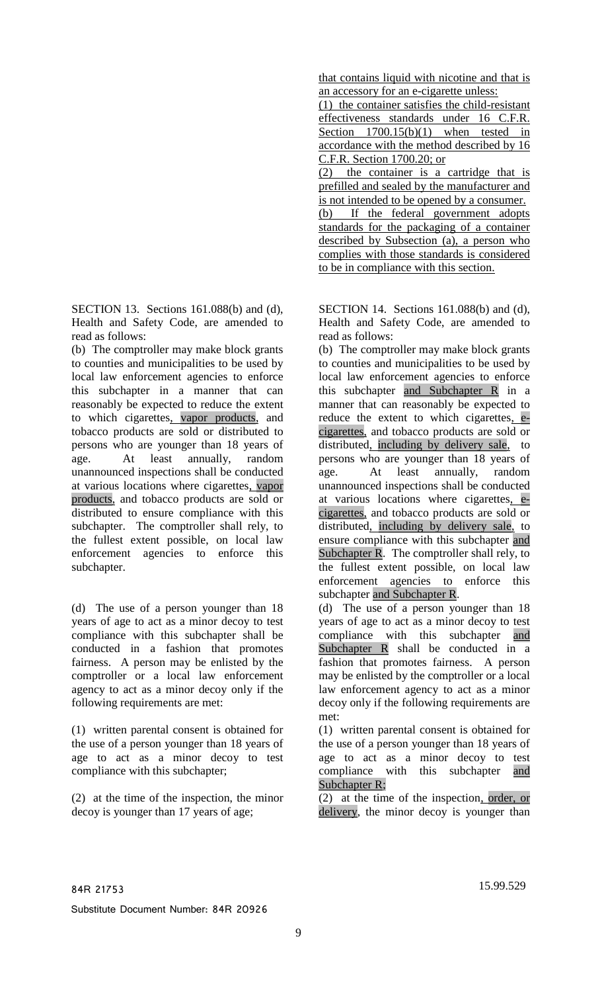SECTION 13. Sections 161.088(b) and (d), Health and Safety Code, are amended to read as follows:

(b) The comptroller may make block grants to counties and municipalities to be used by local law enforcement agencies to enforce this subchapter in a manner that can reasonably be expected to reduce the extent to which cigarettes, vapor products, and tobacco products are sold or distributed to persons who are younger than 18 years of age. At least annually, random unannounced inspections shall be conducted at various locations where cigarettes, vapor products, and tobacco products are sold or distributed to ensure compliance with this subchapter. The comptroller shall rely, to the fullest extent possible, on local law enforcement agencies to enforce this subchapter.

(d) The use of a person younger than 18 years of age to act as a minor decoy to test compliance with this subchapter shall be conducted in a fashion that promotes fairness. A person may be enlisted by the comptroller or a local law enforcement agency to act as a minor decoy only if the following requirements are met:

(1) written parental consent is obtained for the use of a person younger than 18 years of age to act as a minor decoy to test compliance with this subchapter;

(2) at the time of the inspection, the minor decoy is younger than 17 years of age;

that contains liquid with nicotine and that is an accessory for an e-cigarette unless:

(1) the container satisfies the child-resistant effectiveness standards under 16 C.F.R. Section 1700.15(b)(1) when tested in accordance with the method described by 16 C.F.R. Section 1700.20; or

(2) the container is a cartridge that is prefilled and sealed by the manufacturer and is not intended to be opened by a consumer. (b) If the federal government adopts standards for the packaging of a container described by Subsection (a), a person who complies with those standards is considered to be in compliance with this section.

SECTION 14. Sections 161.088(b) and (d), Health and Safety Code, are amended to read as follows:

(b) The comptroller may make block grants to counties and municipalities to be used by local law enforcement agencies to enforce this subchapter and Subchapter R in a manner that can reasonably be expected to reduce the extent to which cigarettes, ecigarettes, and tobacco products are sold or distributed, including by delivery sale, to persons who are younger than 18 years of age. At least annually, random unannounced inspections shall be conducted at various locations where cigarettes, ecigarettes, and tobacco products are sold or distributed, including by delivery sale, to ensure compliance with this subchapter and Subchapter R. The comptroller shall rely, to the fullest extent possible, on local law enforcement agencies to enforce this subchapter and Subchapter R.

(d) The use of a person younger than 18 years of age to act as a minor decoy to test compliance with this subchapter and Subchapter R shall be conducted in a fashion that promotes fairness. A person may be enlisted by the comptroller or a local law enforcement agency to act as a minor decoy only if the following requirements are met:

(1) written parental consent is obtained for the use of a person younger than 18 years of age to act as a minor decoy to test compliance with this subchapter and Subchapter R;

(2) at the time of the inspection, order, or delivery, the minor decoy is younger than

84R 21753 15.99.529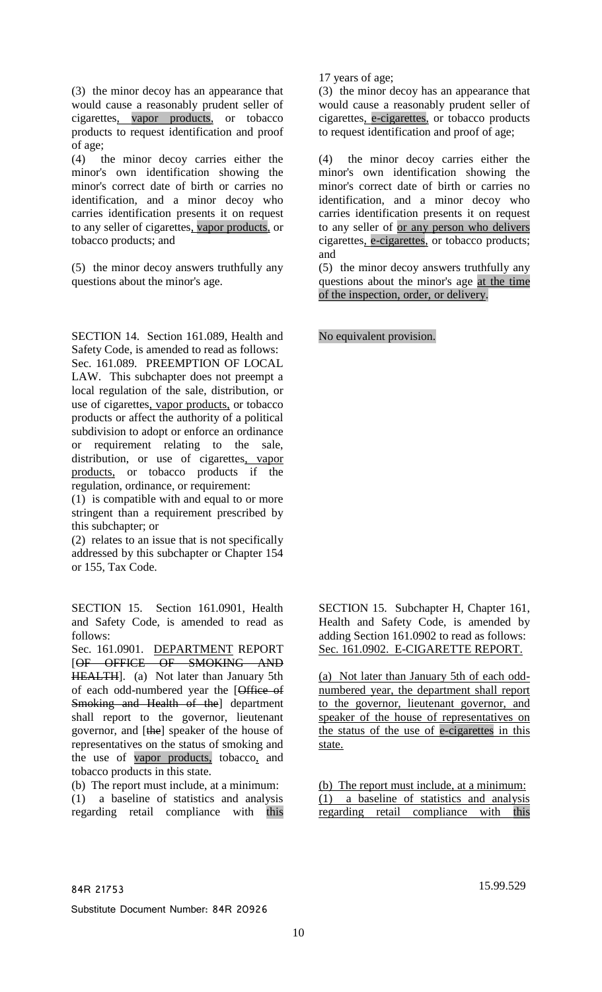(3) the minor decoy has an appearance that would cause a reasonably prudent seller of cigarettes, vapor products, or tobacco products to request identification and proof of age;

(4) the minor decoy carries either the minor's own identification showing the minor's correct date of birth or carries no identification, and a minor decoy who carries identification presents it on request to any seller of cigarettes, vapor products, or tobacco products; and

(5) the minor decoy answers truthfully any questions about the minor's age.

SECTION 14. Section 161.089, Health and Safety Code, is amended to read as follows: Sec. 161.089. PREEMPTION OF LOCAL LAW. This subchapter does not preempt a local regulation of the sale, distribution, or use of cigarettes, vapor products, or tobacco products or affect the authority of a political subdivision to adopt or enforce an ordinance or requirement relating to the sale, distribution, or use of cigarettes, vapor products, or tobacco products if the regulation, ordinance, or requirement:

(1) is compatible with and equal to or more stringent than a requirement prescribed by this subchapter; or

(2) relates to an issue that is not specifically addressed by this subchapter or Chapter 154 or 155, Tax Code.

SECTION 15. Section 161.0901, Health and Safety Code, is amended to read as follows:

Sec. 161.0901. DEPARTMENT REPORT [OF OFFICE OF SMOKING AND HEALTH]. (a) Not later than January 5th of each odd-numbered year the [Office of Smoking and Health of the] department shall report to the governor, lieutenant governor, and [the] speaker of the house of representatives on the status of smoking and the use of vapor products, tobacco, and tobacco products in this state.

(b) The report must include, at a minimum: (1) a baseline of statistics and analysis regarding retail compliance with this 17 years of age;

(3) the minor decoy has an appearance that would cause a reasonably prudent seller of cigarettes, e-cigarettes, or tobacco products to request identification and proof of age;

(4) the minor decoy carries either the minor's own identification showing the minor's correct date of birth or carries no identification, and a minor decoy who carries identification presents it on request to any seller of or any person who delivers cigarettes, e-cigarettes, or tobacco products; and

(5) the minor decoy answers truthfully any questions about the minor's age at the time of the inspection, order, or delivery.

No equivalent provision.

SECTION 15. Subchapter H, Chapter 161, Health and Safety Code, is amended by adding Section 161.0902 to read as follows: Sec. 161.0902. E-CIGARETTE REPORT.

(a) Not later than January 5th of each oddnumbered year, the department shall report to the governor, lieutenant governor, and speaker of the house of representatives on the status of the use of e-cigarettes in this state.

(b) The report must include, at a minimum: (1) a baseline of statistics and analysis regarding retail compliance with this

84R 21753 15.99.529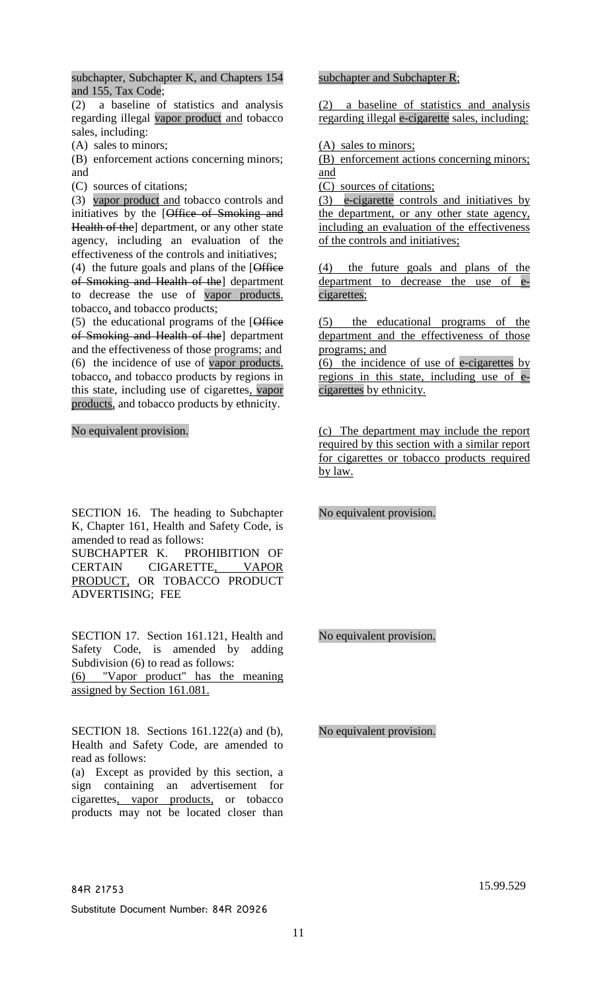subchapter, Subchapter K, and Chapters 154 and 155, Tax Code;

 $\overline{(2)}$  a baseline of statistics and analysis regarding illegal vapor product and tobacco sales, including:

(A) sales to minors;

(B) enforcement actions concerning minors; and

(C) sources of citations;

(3) vapor product and tobacco controls and initiatives by the [Office of Smoking and Health of the] department, or any other state agency, including an evaluation of the effectiveness of the controls and initiatives;

(4) the future goals and plans of the [Office of Smoking and Health of the] department to decrease the use of vapor products, tobacco, and tobacco products;

(5) the educational programs of the [Office of Smoking and Health of the] department and the effectiveness of those programs; and (6) the incidence of use of vapor products, tobacco, and tobacco products by regions in this state, including use of cigarettes, vapor products, and tobacco products by ethnicity.

No equivalent provision.

SECTION 16. The heading to Subchapter K, Chapter 161, Health and Safety Code, is amended to read as follows:

SUBCHAPTER K. PROHIBITION OF CERTAIN CIGARETTE, VAPOR PRODUCT, OR TOBACCO PRODUCT ADVERTISING; FEE

SECTION 17. Section 161.121, Health and Safety Code, is amended by adding Subdivision (6) to read as follows: (6) "Vapor product" has the meaning

assigned by Section 161.081.

SECTION 18. Sections 161.122(a) and (b), Health and Safety Code, are amended to read as follows:

(a) Except as provided by this section, a sign containing an advertisement for cigarettes, vapor products, or tobacco products may not be located closer than

(2) a baseline of statistics and analysis regarding illegal e-cigarette sales, including:

(A) sales to minors;

(B) enforcement actions concerning minors; and

(C) sources of citations;

(3) e-cigarette controls and initiatives by the department, or any other state agency, including an evaluation of the effectiveness of the controls and initiatives;

(4) the future goals and plans of the department to decrease the use of ecigarettes;

(5) the educational programs of the department and the effectiveness of those programs; and

(6) the incidence of use of e-cigarettes by regions in this state, including use of ecigarettes by ethnicity.

(c) The department may include the report required by this section with a similar report for cigarettes or tobacco products required by law.

No equivalent provision.

No equivalent provision.

No equivalent provision.

84R 21753 15.99.529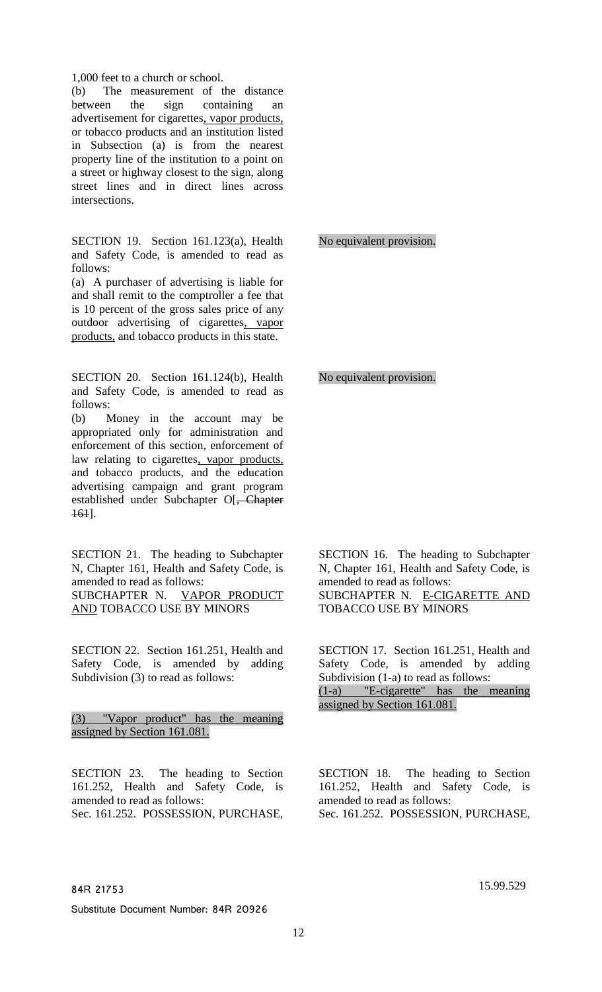1,000 feet to a church or school.

(b) The measurement of the distance between the sign containing an advertisement for cigarettes, vapor products, or tobacco products and an institution listed in Subsection (a) is from the nearest property line of the institution to a point on a street or highway closest to the sign, along street lines and in direct lines across intersections.

SECTION 19. Section 161.123(a), Health and Safety Code, is amended to read as follows:

(a) A purchaser of advertising is liable for and shall remit to the comptroller a fee that is 10 percent of the gross sales price of any outdoor advertising of cigarettes, vapor products, and tobacco products in this state.

SECTION 20. Section 161.124(b), Health and Safety Code, is amended to read as follows:

(b) Money in the account may be appropriated only for administration and enforcement of this section, enforcement of law relating to cigarettes, vapor products, and tobacco products, and the education advertising campaign and grant program established under Subchapter O[, Chapter 161].

SECTION 21. The heading to Subchapter N, Chapter 161, Health and Safety Code, is amended to read as follows: SUBCHAPTER N. VAPOR PRODUCT AND TOBACCO USE BY MINORS

SECTION 22. Section 161.251, Health and Safety Code, is amended by adding Subdivision (3) to read as follows:

## (3) "Vapor product" has the meaning assigned by Section 161.081.

SECTION 23. The heading to Section 161.252, Health and Safety Code, is amended to read as follows: Sec. 161.252. POSSESSION, PURCHASE, No equivalent provision.

### No equivalent provision.

SECTION 16. The heading to Subchapter N, Chapter 161, Health and Safety Code, is amended to read as follows: SUBCHAPTER N. E-CIGARETTE AND TOBACCO USE BY MINORS

SECTION 17. Section 161.251, Health and Safety Code, is amended by adding Subdivision (1-a) to read as follows: (1-a) "E-cigarette" has the meaning assigned by Section 161.081.

SECTION 18. The heading to Section 161.252, Health and Safety Code, is amended to read as follows: Sec. 161.252. POSSESSION, PURCHASE,

84R 21753 15.99.529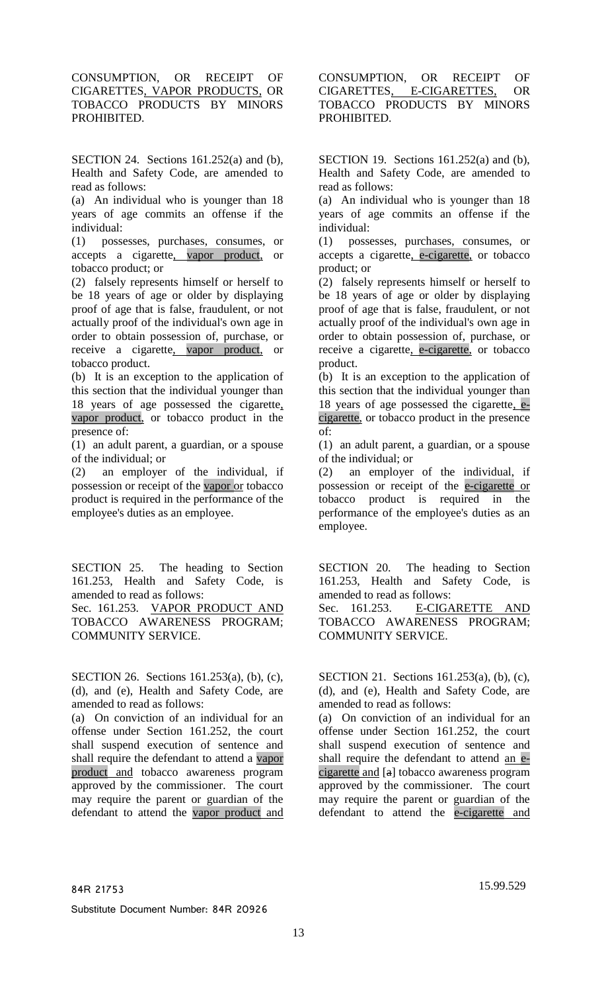CONSUMPTION, OR RECEIPT OF CIGARETTES, VAPOR PRODUCTS, OR TOBACCO PRODUCTS BY MINORS PROHIBITED.

SECTION 24. Sections 161.252(a) and (b), Health and Safety Code, are amended to read as follows:

(a) An individual who is younger than 18 years of age commits an offense if the individual:

(1) possesses, purchases, consumes, or accepts a cigarette, vapor product, or tobacco product; or

(2) falsely represents himself or herself to be 18 years of age or older by displaying proof of age that is false, fraudulent, or not actually proof of the individual's own age in order to obtain possession of, purchase, or receive a cigarette, vapor product, or tobacco product.

(b) It is an exception to the application of this section that the individual younger than 18 years of age possessed the cigarette, vapor product, or tobacco product in the presence of:

(1) an adult parent, a guardian, or a spouse of the individual; or

(2) an employer of the individual, if possession or receipt of the vapor or tobacco product is required in the performance of the employee's duties as an employee.

SECTION 25. The heading to Section 161.253, Health and Safety Code, is amended to read as follows:

Sec. 161.253. VAPOR PRODUCT AND TOBACCO AWARENESS PROGRAM; COMMUNITY SERVICE.

SECTION 26. Sections 161.253(a), (b), (c), (d), and (e), Health and Safety Code, are amended to read as follows:

(a) On conviction of an individual for an offense under Section 161.252, the court shall suspend execution of sentence and shall require the defendant to attend a vapor product and tobacco awareness program approved by the commissioner. The court may require the parent or guardian of the defendant to attend the vapor product and

## CONSUMPTION, OR RECEIPT OF CIGARETTES, E-CIGARETTES, OR TOBACCO PRODUCTS BY MINORS PROHIBITED.

SECTION 19. Sections 161.252(a) and (b), Health and Safety Code, are amended to read as follows:

(a) An individual who is younger than 18 years of age commits an offense if the individual:

(1) possesses, purchases, consumes, or accepts a cigarette, e-cigarette, or tobacco product; or

(2) falsely represents himself or herself to be 18 years of age or older by displaying proof of age that is false, fraudulent, or not actually proof of the individual's own age in order to obtain possession of, purchase, or receive a cigarette, e-cigarette, or tobacco product.

(b) It is an exception to the application of this section that the individual younger than 18 years of age possessed the cigarette, ecigarette, or tobacco product in the presence of:

(1) an adult parent, a guardian, or a spouse of the individual; or

(2) an employer of the individual, if possession or receipt of the e-cigarette or tobacco product is required in the performance of the employee's duties as an employee.

SECTION 20. The heading to Section 161.253, Health and Safety Code, is amended to read as follows:

Sec. 161.253. E-CIGARETTE AND TOBACCO AWARENESS PROGRAM; COMMUNITY SERVICE.

SECTION 21. Sections 161.253(a), (b), (c), (d), and (e), Health and Safety Code, are amended to read as follows:

(a) On conviction of an individual for an offense under Section 161.252, the court shall suspend execution of sentence and shall require the defendant to attend an ecigarette and [a] tobacco awareness program approved by the commissioner. The court may require the parent or guardian of the defendant to attend the e-cigarette and

84R 21753 15.99.529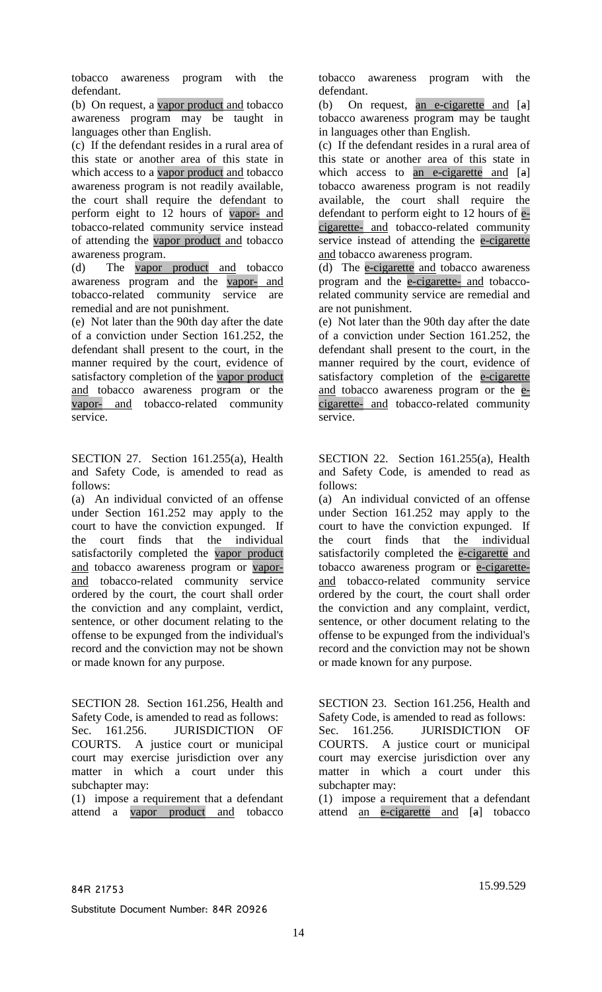tobacco awareness program with the defendant.

(b) On request, a vapor product and tobacco awareness program may be taught in languages other than English.

(c) If the defendant resides in a rural area of this state or another area of this state in which access to a vapor product and tobacco awareness program is not readily available, the court shall require the defendant to perform eight to 12 hours of vapor- and tobacco-related community service instead of attending the vapor product and tobacco awareness program.

(d) The vapor product and tobacco awareness program and the vapor- and tobacco-related community service are remedial and are not punishment.

(e) Not later than the 90th day after the date of a conviction under Section 161.252, the defendant shall present to the court, in the manner required by the court, evidence of satisfactory completion of the vapor product and tobacco awareness program or the vapor- and tobacco-related community service.

SECTION 27. Section 161.255(a), Health and Safety Code, is amended to read as follows:

(a) An individual convicted of an offense under Section 161.252 may apply to the court to have the conviction expunged. If the court finds that the individual satisfactorily completed the vapor product and tobacco awareness program or vaporand tobacco-related community service ordered by the court, the court shall order the conviction and any complaint, verdict, sentence, or other document relating to the offense to be expunged from the individual's record and the conviction may not be shown or made known for any purpose.

SECTION 28. Section 161.256, Health and Safety Code, is amended to read as follows: Sec. 161.256. JURISDICTION OF COURTS. A justice court or municipal court may exercise jurisdiction over any matter in which a court under this subchapter may:

(1) impose a requirement that a defendant attend a vapor product and tobacco

tobacco awareness program with the defendant.

(b) On request,  $\overline{an}$  e-cigarette and  $[a]$ tobacco awareness program may be taught in languages other than English.

(c) If the defendant resides in a rural area of this state or another area of this state in which access to an e-cigarette and [a] tobacco awareness program is not readily available, the court shall require the defendant to perform eight to 12 hours of ecigarette- and tobacco-related community service instead of attending the e-cigarette and tobacco awareness program.

(d) The e-cigarette and tobacco awareness program and the e-cigarette- and tobaccorelated community service are remedial and are not punishment.

(e) Not later than the 90th day after the date of a conviction under Section 161.252, the defendant shall present to the court, in the manner required by the court, evidence of satisfactory completion of the e-cigarette and tobacco awareness program or the ecigarette- and tobacco-related community service.

SECTION 22. Section 161.255(a), Health and Safety Code, is amended to read as follows:

(a) An individual convicted of an offense under Section 161.252 may apply to the court to have the conviction expunged. If the court finds that the individual satisfactorily completed the e-cigarette and tobacco awareness program or e-cigaretteand tobacco-related community service ordered by the court, the court shall order the conviction and any complaint, verdict, sentence, or other document relating to the offense to be expunged from the individual's record and the conviction may not be shown or made known for any purpose.

SECTION 23. Section 161.256, Health and Safety Code, is amended to read as follows: Sec. 161.256. JURISDICTION OF COURTS. A justice court or municipal court may exercise jurisdiction over any matter in which a court under this subchapter may:

(1) impose a requirement that a defendant attend an e-cigarette and [a] tobacco

84R 21753 15.99.529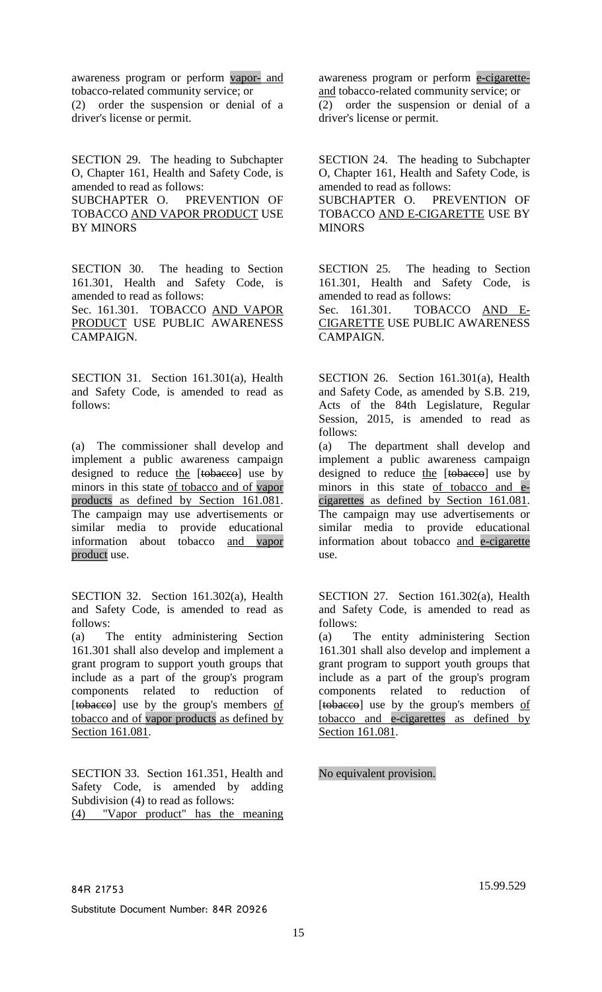awareness program or perform vapor- and tobacco-related community service; or

(2) order the suspension or denial of a driver's license or permit.

SECTION 29. The heading to Subchapter O, Chapter 161, Health and Safety Code, is amended to read as follows:

SUBCHAPTER O. PREVENTION OF TOBACCO AND VAPOR PRODUCT USE BY MINORS

SECTION 30. The heading to Section 161.301, Health and Safety Code, is amended to read as follows: Sec. 161.301. TOBACCO AND VAPOR PRODUCT USE PUBLIC AWARENESS CAMPAIGN.

SECTION 31. Section 161.301(a), Health and Safety Code, is amended to read as follows:

(a) The commissioner shall develop and implement a public awareness campaign designed to reduce the [tobacco] use by minors in this state of tobacco and of vapor products as defined by Section 161.081. The campaign may use advertisements or similar media to provide educational information about tobacco and vapor product use.

SECTION 32. Section 161.302(a), Health and Safety Code, is amended to read as follows:

(a) The entity administering Section 161.301 shall also develop and implement a grant program to support youth groups that include as a part of the group's program components related to reduction of [tobacco] use by the group's members of tobacco and of vapor products as defined by Section 161.081.

SECTION 33. Section 161.351, Health and Safety Code, is amended by adding Subdivision (4) to read as follows: (4) "Vapor product" has the meaning awareness program or perform e-cigaretteand tobacco-related community service; or (2) order the suspension or denial of a driver's license or permit.

SECTION 24. The heading to Subchapter O, Chapter 161, Health and Safety Code, is amended to read as follows:

SUBCHAPTER O. PREVENTION OF TOBACCO AND E-CIGARETTE USE BY **MINORS** 

SECTION 25. The heading to Section 161.301, Health and Safety Code, is amended to read as follows:

Sec. 161.301. TOBACCO AND E-CIGARETTE USE PUBLIC AWARENESS CAMPAIGN.

SECTION 26. Section 161.301(a), Health and Safety Code, as amended by S.B. 219, Acts of the 84th Legislature, Regular Session, 2015, is amended to read as follows:

(a) The department shall develop and implement a public awareness campaign designed to reduce the [tobacco] use by minors in this state of tobacco and ecigarettes as defined by Section 161.081. The campaign may use advertisements or similar media to provide educational information about tobacco and e-cigarette use.

SECTION 27. Section 161.302(a), Health and Safety Code, is amended to read as follows:

(a) The entity administering Section 161.301 shall also develop and implement a grant program to support youth groups that include as a part of the group's program components related to reduction of [tobacco] use by the group's members of tobacco and e-cigarettes as defined by Section 161.081.

No equivalent provision.

84R 21753 15.99.529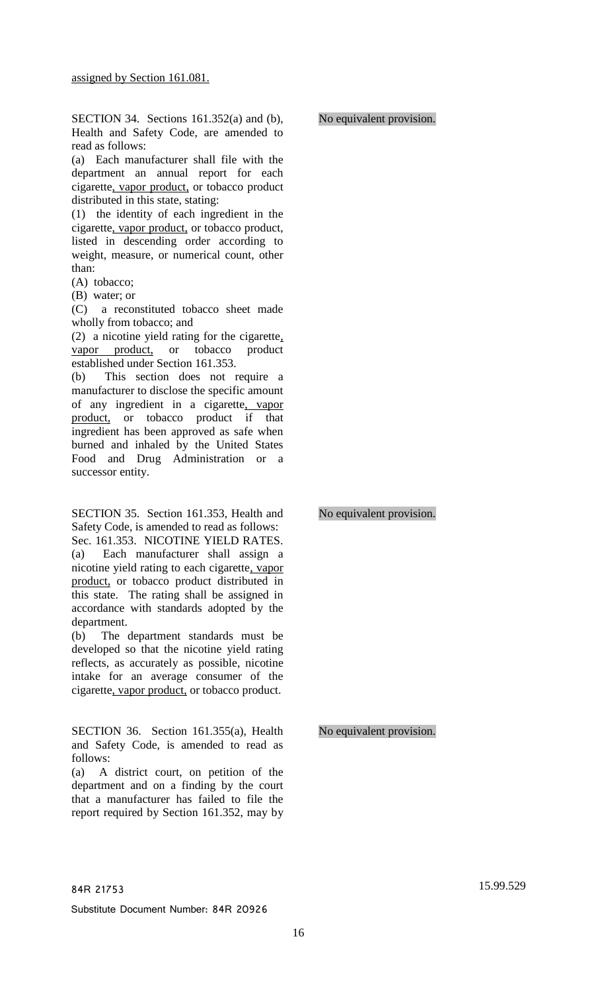SECTION 34. Sections 161.352(a) and (b), Health and Safety Code, are amended to read as follows:

(a) Each manufacturer shall file with the department an annual report for each cigarette, vapor product, or tobacco product distributed in this state, stating:

(1) the identity of each ingredient in the cigarette, vapor product, or tobacco product, listed in descending order according to weight, measure, or numerical count, other than:

(A) tobacco;

(B) water; or

(C) a reconstituted tobacco sheet made wholly from tobacco; and

(2) a nicotine yield rating for the cigarette, vapor product, or tobacco product established under Section 161.353.

(b) This section does not require a manufacturer to disclose the specific amount of any ingredient in a cigarette, vapor product, or tobacco product if that ingredient has been approved as safe when burned and inhaled by the United States Food and Drug Administration or a successor entity.

SECTION 35. Section 161.353, Health and Safety Code, is amended to read as follows:

Sec. 161.353. NICOTINE YIELD RATES. (a) Each manufacturer shall assign a nicotine yield rating to each cigarette, vapor product, or tobacco product distributed in this state. The rating shall be assigned in accordance with standards adopted by the department.

(b) The department standards must be developed so that the nicotine yield rating reflects, as accurately as possible, nicotine intake for an average consumer of the cigarette, vapor product, or tobacco product.

SECTION 36. Section 161.355(a), Health and Safety Code, is amended to read as follows:

(a) A district court, on petition of the department and on a finding by the court that a manufacturer has failed to file the report required by Section 161.352, may by No equivalent provision.

No equivalent provision.

No equivalent provision.

84R 21753 15.99.529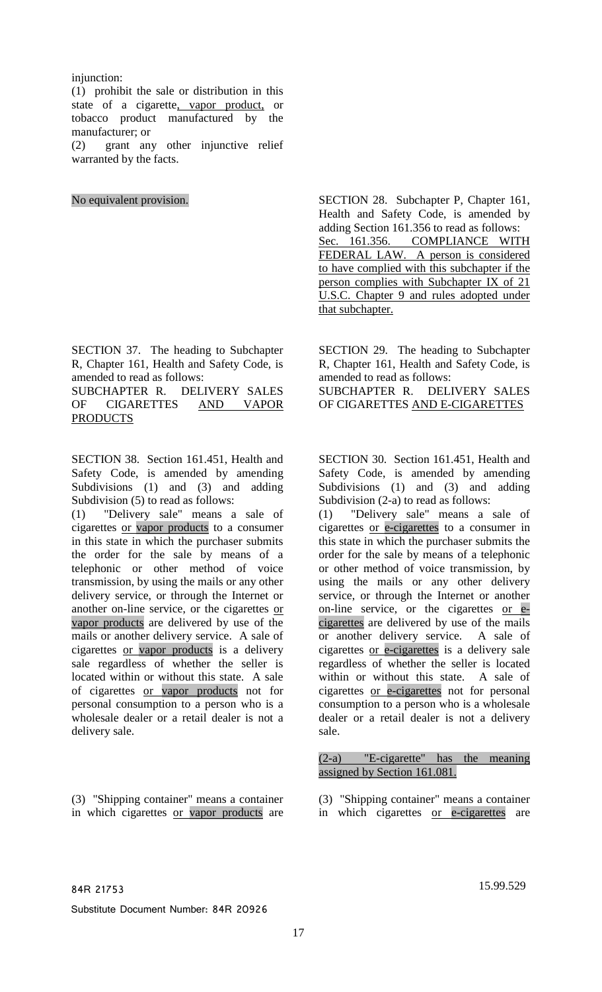injunction:

(1) prohibit the sale or distribution in this state of a cigarette, vapor product, or tobacco product manufactured by the manufacturer; or

(2) grant any other injunctive relief warranted by the facts.

SECTION 37. The heading to Subchapter R, Chapter 161, Health and Safety Code, is amended to read as follows:

SUBCHAPTER R. DELIVERY SALES OF CIGARETTES AND VAPOR **PRODUCTS** 

SECTION 38. Section 161.451, Health and Safety Code, is amended by amending Subdivisions (1) and (3) and adding Subdivision (5) to read as follows:

(1) "Delivery sale" means a sale of cigarettes or vapor products to a consumer in this state in which the purchaser submits the order for the sale by means of a telephonic or other method of voice transmission, by using the mails or any other delivery service, or through the Internet or another on-line service, or the cigarettes or vapor products are delivered by use of the mails or another delivery service. A sale of cigarettes or vapor products is a delivery sale regardless of whether the seller is located within or without this state. A sale of cigarettes or vapor products not for personal consumption to a person who is a wholesale dealer or a retail dealer is not a delivery sale.

(3) "Shipping container" means a container in which cigarettes or vapor products are

No equivalent provision. SECTION 28. Subchapter P, Chapter 161, Health and Safety Code, is amended by adding Section 161.356 to read as follows: Sec. 161.356. COMPLIANCE WITH FEDERAL LAW. A person is considered to have complied with this subchapter if the person complies with Subchapter IX of 21 U.S.C. Chapter 9 and rules adopted under that subchapter.

> SECTION 29. The heading to Subchapter R, Chapter 161, Health and Safety Code, is amended to read as follows: SUBCHAPTER R. DELIVERY SALES OF CIGARETTES AND E-CIGARETTES

> SECTION 30. Section 161.451, Health and Safety Code, is amended by amending Subdivisions (1) and (3) and adding Subdivision (2-a) to read as follows:

> (1) "Delivery sale" means a sale of cigarettes or e-cigarettes to a consumer in this state in which the purchaser submits the order for the sale by means of a telephonic or other method of voice transmission, by using the mails or any other delivery service, or through the Internet or another on-line service, or the cigarettes or ecigarettes are delivered by use of the mails or another delivery service. A sale of cigarettes or e-cigarettes is a delivery sale regardless of whether the seller is located within or without this state. A sale of cigarettes or e-cigarettes not for personal consumption to a person who is a wholesale dealer or a retail dealer is not a delivery sale.

(2-a) "E-cigarette" has the meaning assigned by Section 161.081.

(3) "Shipping container" means a container in which cigarettes or e-cigarettes are

84R 21753 15.99.529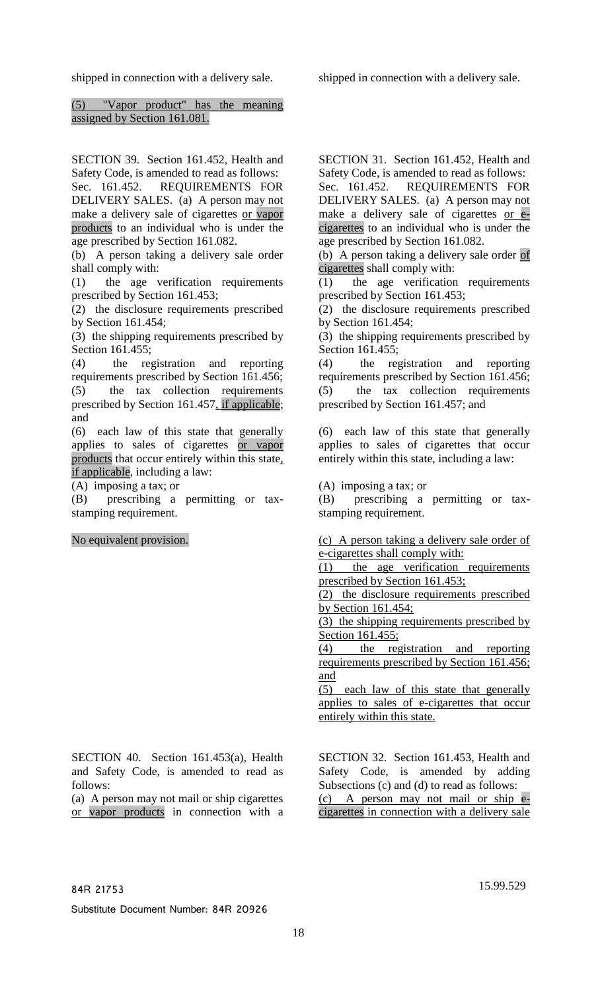shipped in connection with a delivery sale.

shipped in connection with a delivery sale.

|                              |  | (5) "Vapor product" has the meaning |  |  |  |
|------------------------------|--|-------------------------------------|--|--|--|
| assigned by Section 161.081. |  |                                     |  |  |  |

SECTION 39. Section 161.452, Health and Safety Code, is amended to read as follows:

Sec. 161.452. REQUIREMENTS FOR DELIVERY SALES. (a) A person may not make a delivery sale of cigarettes or vapor products to an individual who is under the age prescribed by Section 161.082.

(b) A person taking a delivery sale order shall comply with:

(1) the age verification requirements prescribed by Section 161.453;

(2) the disclosure requirements prescribed by Section 161.454;

(3) the shipping requirements prescribed by Section 161.455;

(4) the registration and reporting requirements prescribed by Section 161.456; (5) the tax collection requirements prescribed by Section 161.457, if applicable; and

(6) each law of this state that generally applies to sales of cigarettes or vapor products that occur entirely within this state, if applicable, including a law:

(A) imposing a tax; or

(B) prescribing a permitting or taxstamping requirement.

No equivalent provision.

SECTION 40. Section 161.453(a), Health and Safety Code, is amended to read as follows:

(a) A person may not mail or ship cigarettes or vapor products in connection with a SECTION 31. Section 161.452, Health and Safety Code, is amended to read as follows: Sec. 161.452. REQUIREMENTS FOR

DELIVERY SALES. (a) A person may not make a delivery sale of cigarettes or ecigarettes to an individual who is under the age prescribed by Section 161.082.

(b) A person taking a delivery sale order of cigarettes shall comply with:

(1) the age verification requirements prescribed by Section 161.453;

(2) the disclosure requirements prescribed by Section 161.454;

(3) the shipping requirements prescribed by Section 161.455;

(4) the registration and reporting requirements prescribed by Section 161.456; (5) the tax collection requirements prescribed by Section 161.457; and

(6) each law of this state that generally applies to sales of cigarettes that occur entirely within this state, including a law:

(A) imposing a tax; or

(B) prescribing a permitting or taxstamping requirement.

(c) A person taking a delivery sale order of e-cigarettes shall comply with:

(1) the age verification requirements prescribed by Section 161.453;

(2) the disclosure requirements prescribed by Section 161.454;

(3) the shipping requirements prescribed by Section 161.455;

(4) the registration and reporting requirements prescribed by Section 161.456; and

(5) each law of this state that generally applies to sales of e-cigarettes that occur entirely within this state.

SECTION 32. Section 161.453, Health and Safety Code, is amended by adding Subsections (c) and (d) to read as follows: (c) A person may not mail or ship ecigarettes in connection with a delivery sale

84R 21753 15.99.529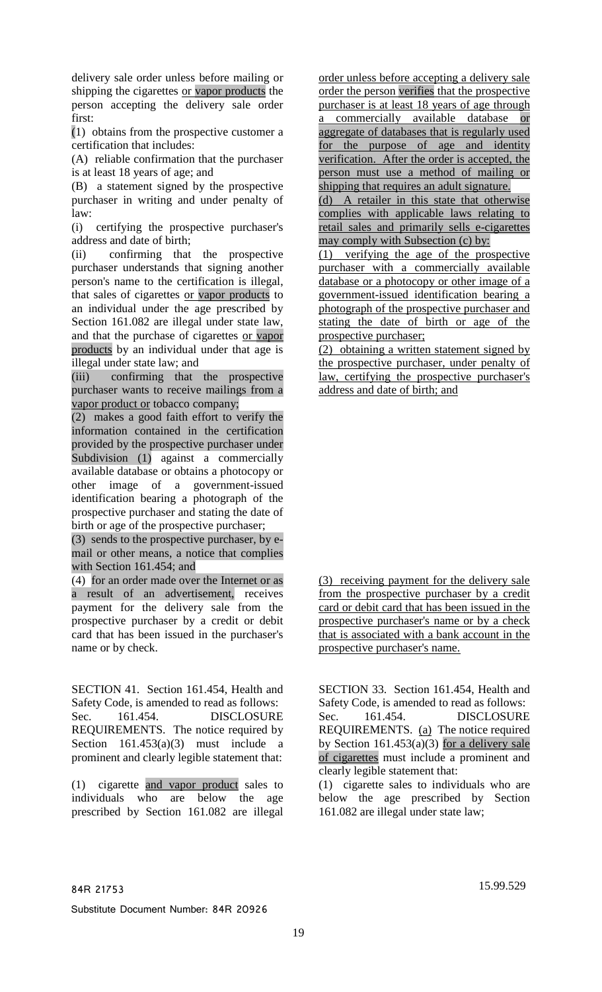delivery sale order unless before mailing or shipping the cigarettes or vapor products the person accepting the delivery sale order first:

(1) obtains from the prospective customer a certification that includes:

(A) reliable confirmation that the purchaser is at least 18 years of age; and

(B) a statement signed by the prospective purchaser in writing and under penalty of law:

(i) certifying the prospective purchaser's address and date of birth;

(ii) confirming that the prospective purchaser understands that signing another person's name to the certification is illegal, that sales of cigarettes or vapor products to an individual under the age prescribed by Section 161.082 are illegal under state law, and that the purchase of cigarettes or vapor products by an individual under that age is illegal under state law; and

(iii) confirming that the prospective purchaser wants to receive mailings from a vapor product or tobacco company;

(2) makes a good faith effort to verify the information contained in the certification provided by the prospective purchaser under Subdivision (1) against a commercially available database or obtains a photocopy or other image of a government-issued identification bearing a photograph of the prospective purchaser and stating the date of birth or age of the prospective purchaser;

(3) sends to the prospective purchaser, by email or other means, a notice that complies with Section 161.454; and

(4) for an order made over the Internet or as a result of an advertisement, receives payment for the delivery sale from the prospective purchaser by a credit or debit card that has been issued in the purchaser's name or by check.

SECTION 41. Section 161.454, Health and Safety Code, is amended to read as follows: Sec. 161.454. DISCLOSURE REQUIREMENTS. The notice required by Section  $161.453(a)(3)$  must include a prominent and clearly legible statement that:

(1) cigarette and vapor product sales to individuals who are below the age prescribed by Section 161.082 are illegal

order unless before accepting a delivery sale order the person verifies that the prospective purchaser is at least 18 years of age through a commercially available database or aggregate of databases that is regularly used for the purpose of age and identity verification. After the order is accepted, the person must use a method of mailing or shipping that requires an adult signature.

(d) A retailer in this state that otherwise complies with applicable laws relating to retail sales and primarily sells e-cigarettes may comply with Subsection (c) by:

(1) verifying the age of the prospective purchaser with a commercially available database or a photocopy or other image of a government-issued identification bearing a photograph of the prospective purchaser and stating the date of birth or age of the prospective purchaser;

(2) obtaining a written statement signed by the prospective purchaser, under penalty of law, certifying the prospective purchaser's address and date of birth; and

(3) receiving payment for the delivery sale from the prospective purchaser by a credit card or debit card that has been issued in the prospective purchaser's name or by a check that is associated with a bank account in the prospective purchaser's name.

SECTION 33. Section 161.454, Health and Safety Code, is amended to read as follows: Sec. 161.454. DISCLOSURE REQUIREMENTS. (a) The notice required by Section  $161.453(a)(3)$  for a delivery sale of cigarettes must include a prominent and clearly legible statement that:

(1) cigarette sales to individuals who are below the age prescribed by Section 161.082 are illegal under state law;

84R 21753 15.99.529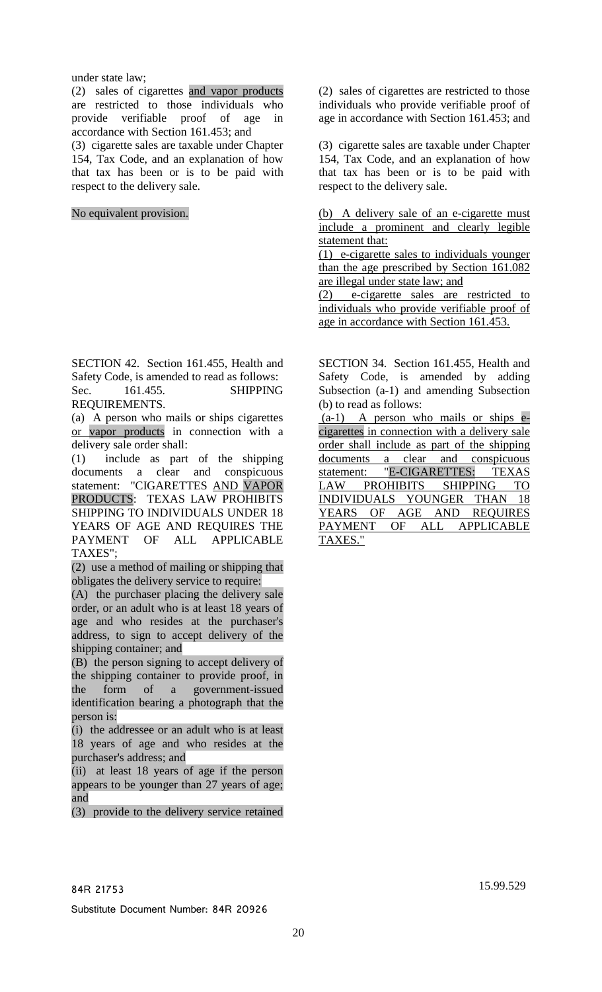under state law;

(2) sales of cigarettes and vapor products are restricted to those individuals who provide verifiable proof of age in accordance with Section 161.453; and

(3) cigarette sales are taxable under Chapter 154, Tax Code, and an explanation of how that tax has been or is to be paid with respect to the delivery sale.

No equivalent provision.

SECTION 42. Section 161.455, Health and Safety Code, is amended to read as follows: Sec. 161.455. SHIPPING REQUIREMENTS.

(a) A person who mails or ships cigarettes or vapor products in connection with a delivery sale order shall:

(1) include as part of the shipping documents a clear and conspicuous statement: "CIGARETTES AND VAPOR PRODUCTS: TEXAS LAW PROHIBITS SHIPPING TO INDIVIDUALS UNDER 18 YEARS OF AGE AND REQUIRES THE PAYMENT OF ALL APPLICABLE TAXES";

(2) use a method of mailing or shipping that obligates the delivery service to require:

(A) the purchaser placing the delivery sale order, or an adult who is at least 18 years of age and who resides at the purchaser's address, to sign to accept delivery of the shipping container; and

(B) the person signing to accept delivery of the shipping container to provide proof, in the form of a government-issued identification bearing a photograph that the person is:

(i) the addressee or an adult who is at least 18 years of age and who resides at the purchaser's address; and

(ii) at least 18 years of age if the person appears to be younger than 27 years of age; and

(3) provide to the delivery service retained

(2) sales of cigarettes are restricted to those individuals who provide verifiable proof of age in accordance with Section 161.453; and

(3) cigarette sales are taxable under Chapter 154, Tax Code, and an explanation of how that tax has been or is to be paid with respect to the delivery sale.

(b) A delivery sale of an e-cigarette must include a prominent and clearly legible statement that:

(1) e-cigarette sales to individuals younger than the age prescribed by Section 161.082 are illegal under state law; and

(2) e-cigarette sales are restricted to individuals who provide verifiable proof of age in accordance with Section 161.453.

SECTION 34. Section 161.455, Health and Safety Code, is amended by adding Subsection (a-1) and amending Subsection (b) to read as follows:

(a-1) A person who mails or ships ecigarettes in connection with a delivery sale order shall include as part of the shipping documents a clear and conspicuous statement: "E-CIGARETTES: TEXAS LAW PROHIBITS SHIPPING TO INDIVIDUALS YOUNGER THAN 18 YEARS OF AGE AND REQUIRES PAYMENT OF ALL APPLICABLE TAXES."

84R 21753 15.99.529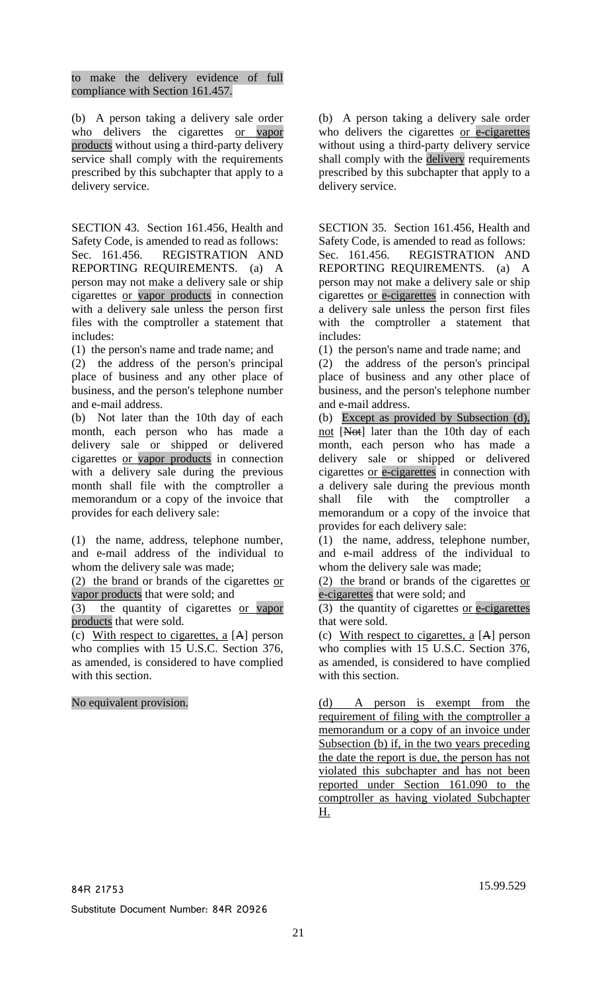to make the delivery evidence of full compliance with Section 161.457.

(b) A person taking a delivery sale order who delivers the cigarettes or vapor products without using a third-party delivery service shall comply with the requirements prescribed by this subchapter that apply to a delivery service.

SECTION 43. Section 161.456, Health and Safety Code, is amended to read as follows: Sec. 161.456. REGISTRATION AND REPORTING REQUIREMENTS. (a) A person may not make a delivery sale or ship cigarettes or vapor products in connection with a delivery sale unless the person first files with the comptroller a statement that includes:

(1) the person's name and trade name; and

(2) the address of the person's principal place of business and any other place of business, and the person's telephone number and e-mail address.

(b) Not later than the 10th day of each month, each person who has made a delivery sale or shipped or delivered cigarettes or vapor products in connection with a delivery sale during the previous month shall file with the comptroller a memorandum or a copy of the invoice that provides for each delivery sale:

(1) the name, address, telephone number, and e-mail address of the individual to whom the delivery sale was made;

(2) the brand or brands of the cigarettes or vapor products that were sold; and

(3) the quantity of cigarettes or vapor products that were sold.

(c) With respect to cigarettes, a [A] person who complies with 15 U.S.C. Section 376, as amended, is considered to have complied with this section.

### No equivalent provision.

(b) A person taking a delivery sale order who delivers the cigarettes or e-cigarettes without using a third-party delivery service shall comply with the delivery requirements prescribed by this subchapter that apply to a delivery service.

SECTION 35. Section 161.456, Health and Safety Code, is amended to read as follows: Sec. 161.456. REGISTRATION AND REPORTING REQUIREMENTS. (a) A person may not make a delivery sale or ship cigarettes or e-cigarettes in connection with a delivery sale unless the person first files with the comptroller a statement that includes:

(1) the person's name and trade name; and

(2) the address of the person's principal place of business and any other place of business, and the person's telephone number and e-mail address.

(b) Except as provided by Subsection (d), not [Not] later than the 10th day of each month, each person who has made a delivery sale or shipped or delivered cigarettes or e-cigarettes in connection with a delivery sale during the previous month shall file with the comptroller a memorandum or a copy of the invoice that provides for each delivery sale:

(1) the name, address, telephone number, and e-mail address of the individual to whom the delivery sale was made;

(2) the brand or brands of the cigarettes or e-cigarettes that were sold; and

(3) the quantity of cigarettes or e-cigarettes that were sold.

(c) With respect to cigarettes, a [A] person who complies with 15 U.S.C. Section 376, as amended, is considered to have complied with this section.

(d) A person is exempt from the requirement of filing with the comptroller a memorandum or a copy of an invoice under Subsection (b) if, in the two years preceding the date the report is due, the person has not violated this subchapter and has not been reported under Section 161.090 to the comptroller as having violated Subchapter H.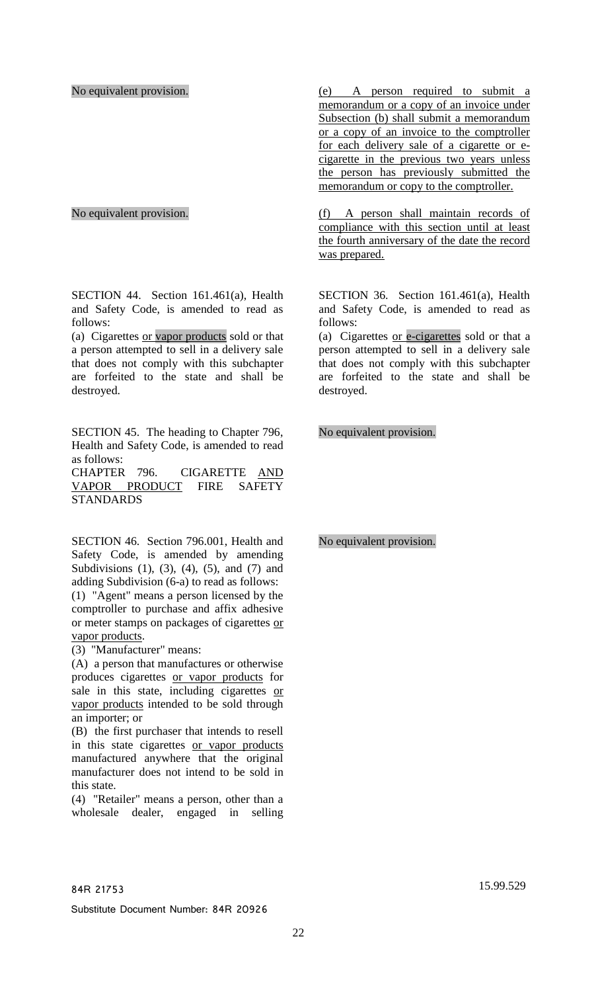No equivalent provision.

No equivalent provision.

SECTION 44. Section 161.461(a), Health and Safety Code, is amended to read as follows:

(a) Cigarettes or vapor products sold or that a person attempted to sell in a delivery sale that does not comply with this subchapter are forfeited to the state and shall be destroyed.

SECTION 45. The heading to Chapter 796, Health and Safety Code, is amended to read as follows:

CHAPTER 796. CIGARETTE AND VAPOR PRODUCT FIRE SAFETY STANDARDS

SECTION 46. Section 796.001, Health and Safety Code, is amended by amending Subdivisions (1), (3), (4), (5), and (7) and adding Subdivision (6-a) to read as follows:

(1) "Agent" means a person licensed by the comptroller to purchase and affix adhesive or meter stamps on packages of cigarettes or vapor products.

(3) "Manufacturer" means:

(A) a person that manufactures or otherwise produces cigarettes or vapor products for sale in this state, including cigarettes or vapor products intended to be sold through an importer; or

(B) the first purchaser that intends to resell in this state cigarettes or vapor products manufactured anywhere that the original manufacturer does not intend to be sold in this state.

(4) "Retailer" means a person, other than a wholesale dealer, engaged in selling

(e) A person required to submit a memorandum or a copy of an invoice under Subsection (b) shall submit a memorandum or a copy of an invoice to the comptroller for each delivery sale of a cigarette or ecigarette in the previous two years unless the person has previously submitted the memorandum or copy to the comptroller.

(f) A person shall maintain records of compliance with this section until at least the fourth anniversary of the date the record was prepared.

SECTION 36. Section 161.461(a), Health and Safety Code, is amended to read as follows:

(a) Cigarettes or e-cigarettes sold or that a person attempted to sell in a delivery sale that does not comply with this subchapter are forfeited to the state and shall be destroyed.

No equivalent provision.

No equivalent provision.

84R 21753 15.99.529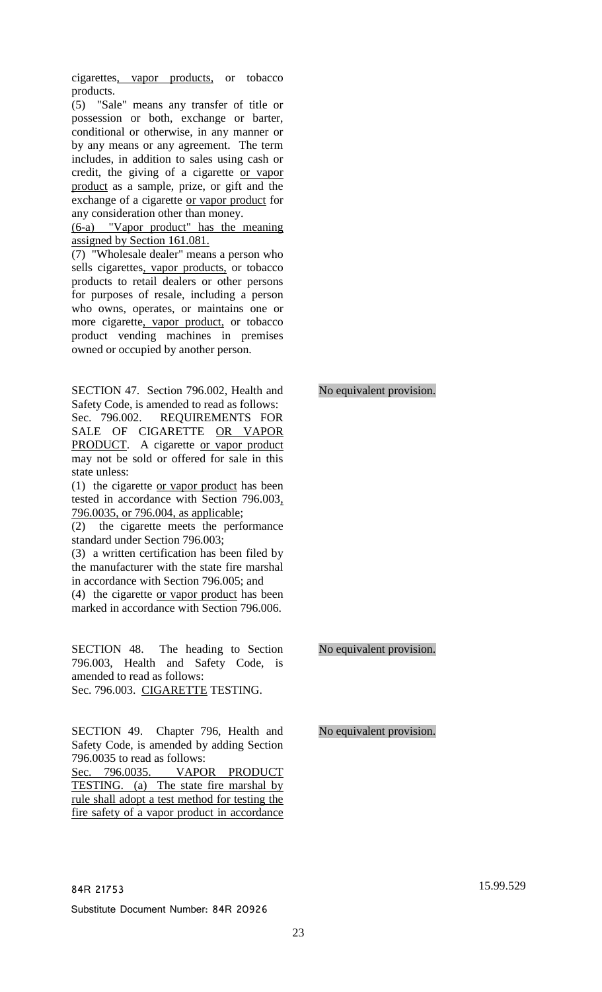cigarettes, vapor products, or tobacco products.

(5) "Sale" means any transfer of title or possession or both, exchange or barter, conditional or otherwise, in any manner or by any means or any agreement. The term includes, in addition to sales using cash or credit, the giving of a cigarette or vapor product as a sample, prize, or gift and the exchange of a cigarette or vapor product for any consideration other than money.

(6-a) "Vapor product" has the meaning assigned by Section 161.081.

(7) "Wholesale dealer" means a person who sells cigarettes, vapor products, or tobacco products to retail dealers or other persons for purposes of resale, including a person who owns, operates, or maintains one or more cigarette, vapor product, or tobacco product vending machines in premises owned or occupied by another person.

SECTION 47. Section 796.002, Health and Safety Code, is amended to read as follows: Sec. 796.002. REQUIREMENTS FOR SALE OF CIGARETTE OR VAPOR PRODUCT. A cigarette or vapor product may not be sold or offered for sale in this state unless:

(1) the cigarette or vapor product has been tested in accordance with Section 796.003, 796.0035, or 796.004, as applicable;

(2) the cigarette meets the performance standard under Section 796.003;

(3) a written certification has been filed by the manufacturer with the state fire marshal in accordance with Section 796.005; and

(4) the cigarette or vapor product has been marked in accordance with Section 796.006.

SECTION 48. The heading to Section 796.003, Health and Safety Code, is amended to read as follows: Sec. 796.003. CIGARETTE TESTING.

SECTION 49. Chapter 796, Health and Safety Code, is amended by adding Section 796.0035 to read as follows:

Sec. 796.0035. VAPOR PRODUCT TESTING. (a) The state fire marshal by rule shall adopt a test method for testing the fire safety of a vapor product in accordance

No equivalent provision.

No equivalent provision.

No equivalent provision.

84R 21753 15.99.529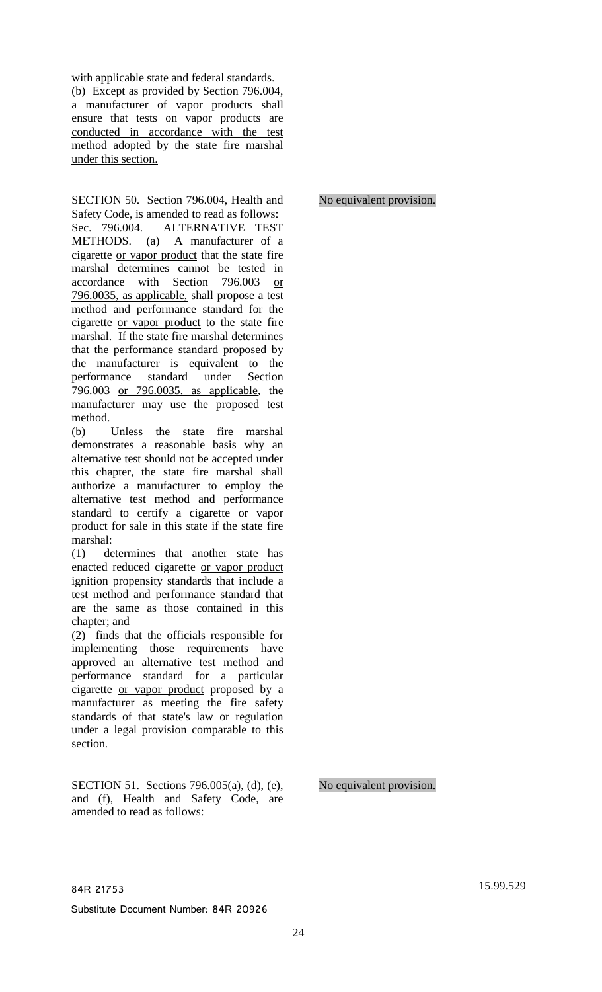with applicable state and federal standards.

(b) Except as provided by Section 796.004, a manufacturer of vapor products shall ensure that tests on vapor products are conducted in accordance with the test method adopted by the state fire marshal under this section.

SECTION 50. Section 796.004, Health and Safety Code, is amended to read as follows: Sec. 796.004. ALTERNATIVE TEST METHODS. (a) A manufacturer of a cigarette or vapor product that the state fire marshal determines cannot be tested in accordance with Section 796.003 or 796.0035, as applicable, shall propose a test method and performance standard for the cigarette or vapor product to the state fire marshal. If the state fire marshal determines that the performance standard proposed by the manufacturer is equivalent to the performance standard under Section  $796.003$  or  $796.0035$ , as applicable, the manufacturer may use the proposed test method.

(b) Unless the state fire marshal demonstrates a reasonable basis why an alternative test should not be accepted under this chapter, the state fire marshal shall authorize a manufacturer to employ the alternative test method and performance standard to certify a cigarette or vapor product for sale in this state if the state fire marshal:

(1) determines that another state has enacted reduced cigarette or vapor product ignition propensity standards that include a test method and performance standard that are the same as those contained in this chapter; and

(2) finds that the officials responsible for implementing those requirements have approved an alternative test method and performance standard for a particular cigarette or vapor product proposed by a manufacturer as meeting the fire safety standards of that state's law or regulation under a legal provision comparable to this section.

SECTION 51. Sections 796.005(a), (d), (e), and (f), Health and Safety Code, are amended to read as follows:

No equivalent provision.

No equivalent provision.

84R 21753 15.99.529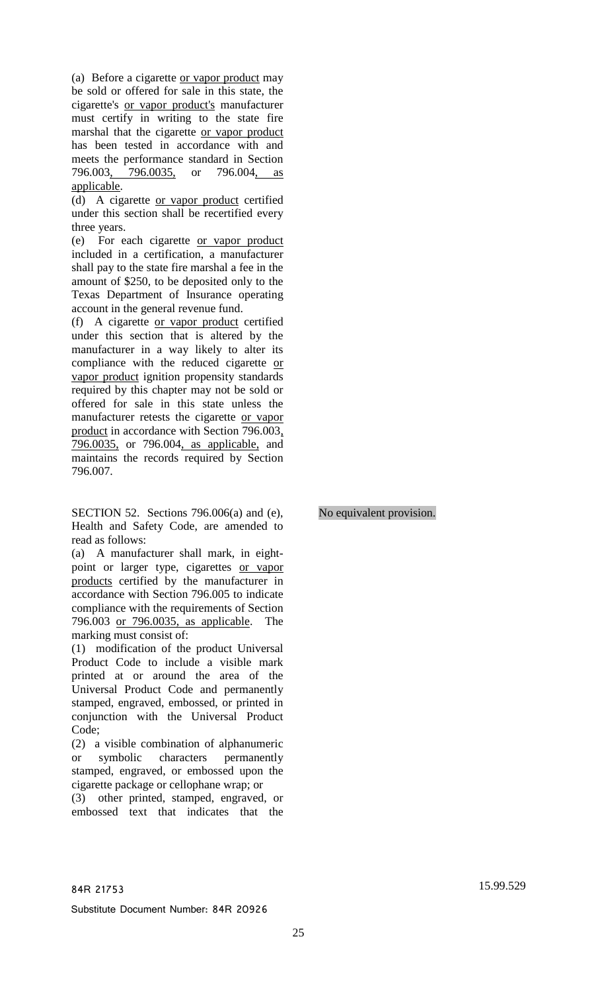(a) Before a cigarette or vapor product may be sold or offered for sale in this state, the cigarette's or vapor product's manufacturer must certify in writing to the state fire marshal that the cigarette or vapor product has been tested in accordance with and meets the performance standard in Section 796.003, 796.0035, or 796.004, as applicable.

(d) A cigarette or vapor product certified under this section shall be recertified every three years.

(e) For each cigarette or vapor product included in a certification, a manufacturer shall pay to the state fire marshal a fee in the amount of \$250, to be deposited only to the Texas Department of Insurance operating account in the general revenue fund.

(f) A cigarette or vapor product certified under this section that is altered by the manufacturer in a way likely to alter its compliance with the reduced cigarette or vapor product ignition propensity standards required by this chapter may not be sold or offered for sale in this state unless the manufacturer retests the cigarette or vapor product in accordance with Section 796.003, 796.0035, or 796.004, as applicable, and maintains the records required by Section 796.007.

SECTION 52. Sections 796.006(a) and (e), Health and Safety Code, are amended to read as follows:

(a) A manufacturer shall mark, in eightpoint or larger type, cigarettes or vapor products certified by the manufacturer in accordance with Section 796.005 to indicate compliance with the requirements of Section 796.003 or 796.0035, as applicable. The marking must consist of:

(1) modification of the product Universal Product Code to include a visible mark printed at or around the area of the Universal Product Code and permanently stamped, engraved, embossed, or printed in conjunction with the Universal Product Code;

(2) a visible combination of alphanumeric or symbolic characters permanently stamped, engraved, or embossed upon the cigarette package or cellophane wrap; or

(3) other printed, stamped, engraved, or embossed text that indicates that the

No equivalent provision.

84R 21753 15.99.529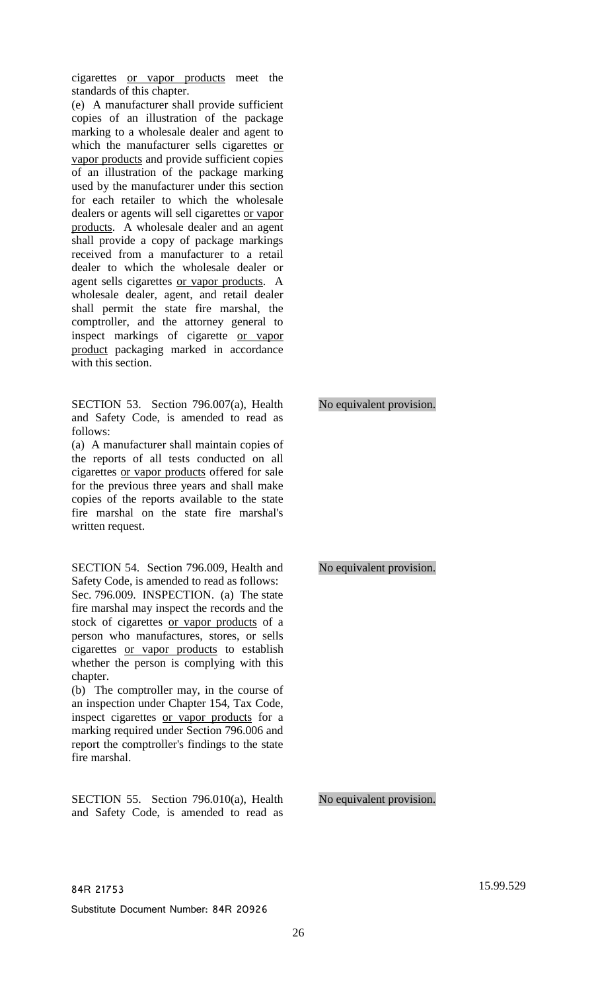cigarettes or vapor products meet the standards of this chapter.

(e) A manufacturer shall provide sufficient copies of an illustration of the package marking to a wholesale dealer and agent to which the manufacturer sells cigarettes or vapor products and provide sufficient copies of an illustration of the package marking used by the manufacturer under this section for each retailer to which the wholesale dealers or agents will sell cigarettes or vapor products. A wholesale dealer and an agent shall provide a copy of package markings received from a manufacturer to a retail dealer to which the wholesale dealer or agent sells cigarettes or vapor products. A wholesale dealer, agent, and retail dealer shall permit the state fire marshal, the comptroller, and the attorney general to inspect markings of cigarette or vapor product packaging marked in accordance with this section.

SECTION 53. Section 796.007(a), Health and Safety Code, is amended to read as follows:

(a) A manufacturer shall maintain copies of the reports of all tests conducted on all cigarettes or vapor products offered for sale for the previous three years and shall make copies of the reports available to the state fire marshal on the state fire marshal's written request.

SECTION 54. Section 796.009, Health and Safety Code, is amended to read as follows: Sec. 796.009. INSPECTION. (a) The state fire marshal may inspect the records and the stock of cigarettes or vapor products of a person who manufactures, stores, or sells cigarettes or vapor products to establish whether the person is complying with this

chapter. (b) The comptroller may, in the course of an inspection under Chapter 154, Tax Code, inspect cigarettes or vapor products for a marking required under Section 796.006 and report the comptroller's findings to the state fire marshal.

SECTION 55. Section 796.010(a), Health and Safety Code, is amended to read as No equivalent provision.

No equivalent provision.

No equivalent provision.

84R 21753 15.99.529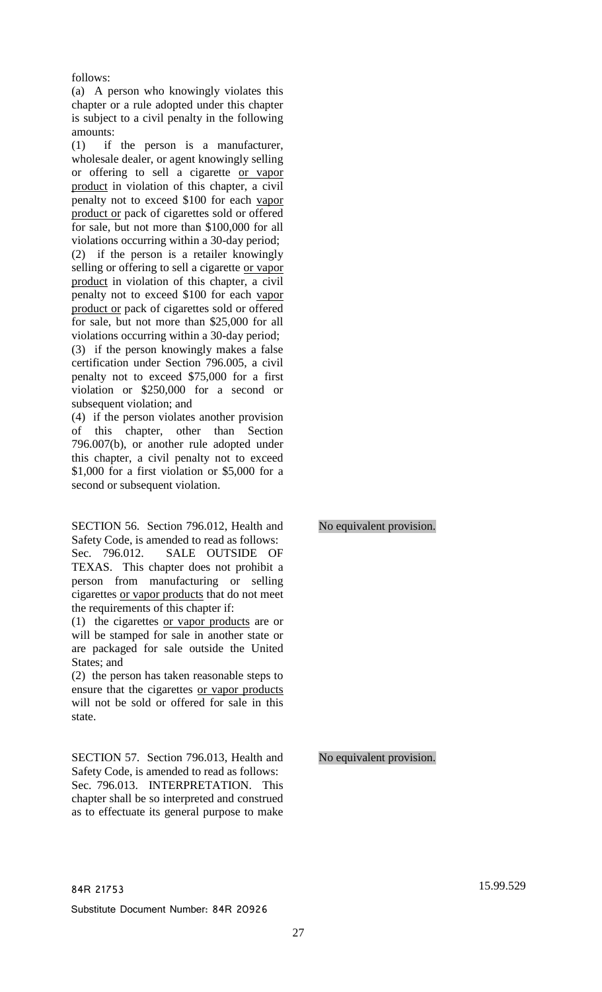follows:

(a) A person who knowingly violates this chapter or a rule adopted under this chapter is subject to a civil penalty in the following amounts:

(1) if the person is a manufacturer, wholesale dealer, or agent knowingly selling or offering to sell a cigarette or vapor product in violation of this chapter, a civil penalty not to exceed \$100 for each vapor product or pack of cigarettes sold or offered for sale, but not more than \$100,000 for all violations occurring within a 30-day period;

(2) if the person is a retailer knowingly selling or offering to sell a cigarette or vapor product in violation of this chapter, a civil penalty not to exceed \$100 for each vapor product or pack of cigarettes sold or offered for sale, but not more than \$25,000 for all violations occurring within a 30-day period; (3) if the person knowingly makes a false

certification under Section 796.005, a civil penalty not to exceed \$75,000 for a first violation or \$250,000 for a second or subsequent violation; and

(4) if the person violates another provision of this chapter, other than Section 796.007(b), or another rule adopted under this chapter, a civil penalty not to exceed \$1,000 for a first violation or \$5,000 for a second or subsequent violation.

SECTION 56. Section 796.012, Health and Safety Code, is amended to read as follows: Sec. 796.012. SALE OUTSIDE OF TEXAS. This chapter does not prohibit a person from manufacturing or selling cigarettes or vapor products that do not meet the requirements of this chapter if:

(1) the cigarettes or vapor products are or will be stamped for sale in another state or are packaged for sale outside the United States; and

(2) the person has taken reasonable steps to ensure that the cigarettes or vapor products will not be sold or offered for sale in this state.

SECTION 57. Section 796.013, Health and Safety Code, is amended to read as follows: Sec. 796.013. INTERPRETATION. This chapter shall be so interpreted and construed as to effectuate its general purpose to make

No equivalent provision.

No equivalent provision.

84R 21753 15.99.529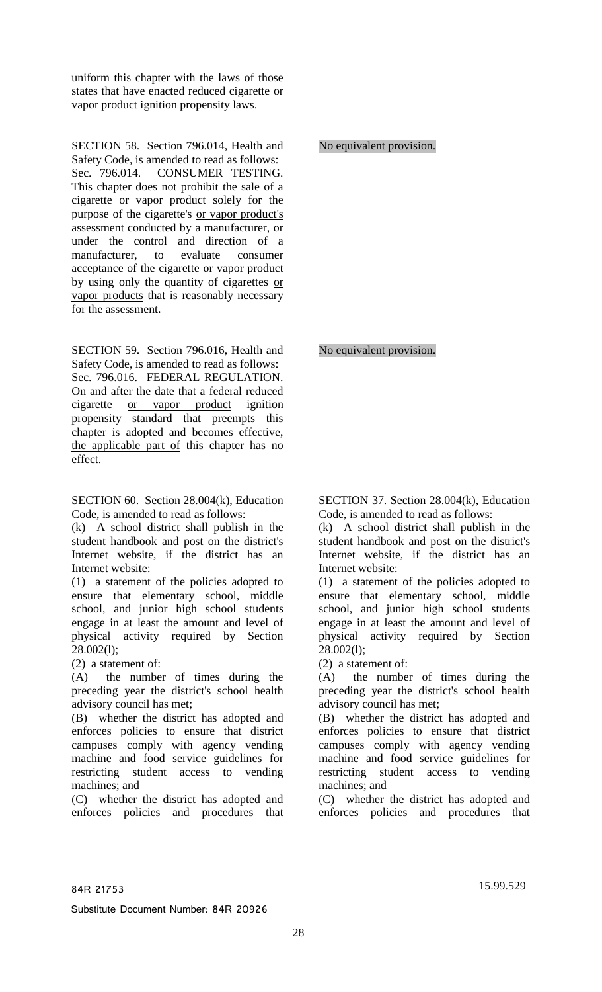uniform this chapter with the laws of those states that have enacted reduced cigarette or vapor product ignition propensity laws.

SECTION 58. Section 796.014, Health and Safety Code, is amended to read as follows: Sec. 796.014. CONSUMER TESTING. This chapter does not prohibit the sale of a cigarette or vapor product solely for the purpose of the cigarette's or vapor product's assessment conducted by a manufacturer, or under the control and direction of a manufacturer, to evaluate consumer acceptance of the cigarette or vapor product by using only the quantity of cigarettes or vapor products that is reasonably necessary for the assessment.

SECTION 59. Section 796.016, Health and Safety Code, is amended to read as follows: Sec. 796.016. FEDERAL REGULATION. On and after the date that a federal reduced cigarette or vapor product ignition propensity standard that preempts this chapter is adopted and becomes effective, the applicable part of this chapter has no effect.

SECTION 60. Section 28.004(k), Education Code, is amended to read as follows:

(k) A school district shall publish in the student handbook and post on the district's Internet website, if the district has an Internet website:

(1) a statement of the policies adopted to ensure that elementary school, middle school, and junior high school students engage in at least the amount and level of physical activity required by Section 28.002(l);

(2) a statement of:

(A) the number of times during the preceding year the district's school health advisory council has met;

(B) whether the district has adopted and enforces policies to ensure that district campuses comply with agency vending machine and food service guidelines for restricting student access to vending machines; and

(C) whether the district has adopted and enforces policies and procedures that No equivalent provision.

### No equivalent provision.

SECTION 37. Section 28.004(k), Education Code, is amended to read as follows:

(k) A school district shall publish in the student handbook and post on the district's Internet website, if the district has an Internet website:

(1) a statement of the policies adopted to ensure that elementary school, middle school, and junior high school students engage in at least the amount and level of physical activity required by Section 28.002(l);

(2) a statement of:

(A) the number of times during the preceding year the district's school health advisory council has met;

(B) whether the district has adopted and enforces policies to ensure that district campuses comply with agency vending machine and food service guidelines for restricting student access to vending machines; and

(C) whether the district has adopted and enforces policies and procedures that

84R 21753 15.99.529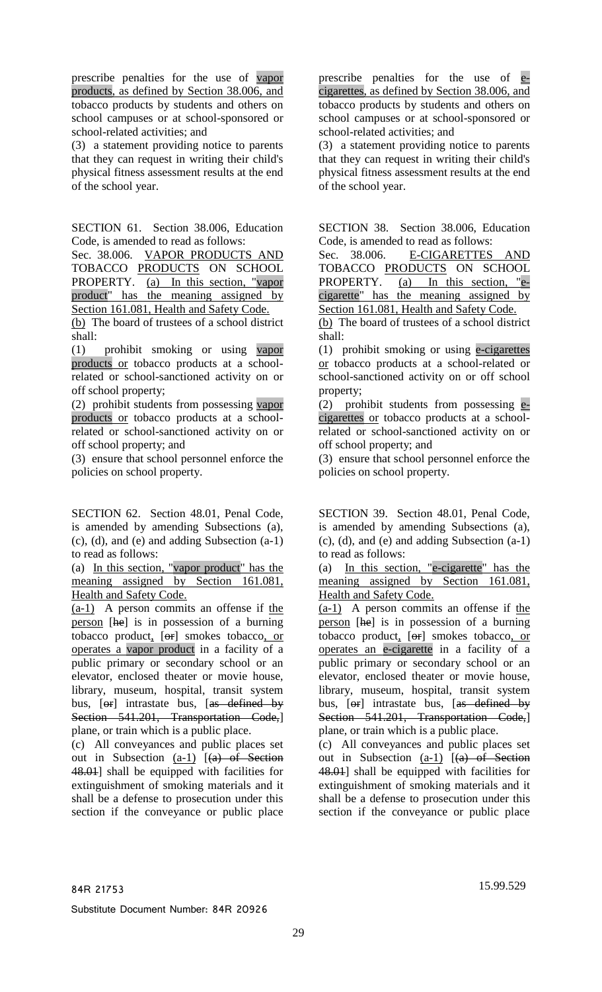prescribe penalties for the use of vapor products, as defined by Section 38.006, and tobacco products by students and others on school campuses or at school-sponsored or school-related activities; and

(3) a statement providing notice to parents that they can request in writing their child's physical fitness assessment results at the end of the school year.

SECTION 61. Section 38.006, Education Code, is amended to read as follows:

Sec. 38.006. VAPOR PRODUCTS AND TOBACCO PRODUCTS ON SCHOOL PROPERTY. (a) In this section, "vapor product" has the meaning assigned by Section 161.081, Health and Safety Code.

(b) The board of trustees of a school district shall:

(1) prohibit smoking or using vapor products or tobacco products at a schoolrelated or school-sanctioned activity on or off school property;

(2) prohibit students from possessing vapor products or tobacco products at a schoolrelated or school-sanctioned activity on or off school property; and

(3) ensure that school personnel enforce the policies on school property.

SECTION 62. Section 48.01, Penal Code, is amended by amending Subsections (a), (c), (d), and (e) and adding Subsection (a-1) to read as follows:

(a) In this section, "vapor product" has the meaning assigned by Section 161.081, Health and Safety Code.

(a-1) A person commits an offense if the person [he] is in possession of a burning tobacco product, [or] smokes tobacco, or operates a vapor product in a facility of a public primary or secondary school or an elevator, enclosed theater or movie house, library, museum, hospital, transit system bus,  $[ $\Theta$ **r**] intractate bus,  $[ $\text{as}$  defined by$$ Section 541.201, Transportation Code, plane, or train which is a public place.

(c) All conveyances and public places set out in Subsection  $(a-1)$   $[(a)$  of Section 48.01] shall be equipped with facilities for extinguishment of smoking materials and it shall be a defense to prosecution under this section if the conveyance or public place

prescribe penalties for the use of ecigarettes, as defined by Section 38.006, and tobacco products by students and others on school campuses or at school-sponsored or school-related activities; and

(3) a statement providing notice to parents that they can request in writing their child's physical fitness assessment results at the end of the school year.

SECTION 38. Section 38.006, Education Code, is amended to read as follows:

Sec. 38.006. E-CIGARETTES AND TOBACCO PRODUCTS ON SCHOOL PROPERTY. (a) In this section, "ecigarette" has the meaning assigned by Section 161.081, Health and Safety Code.

(b) The board of trustees of a school district shall:

(1) prohibit smoking or using e-cigarettes or tobacco products at a school-related or school-sanctioned activity on or off school property;

(2) prohibit students from possessing ecigarettes or tobacco products at a schoolrelated or school-sanctioned activity on or off school property; and

(3) ensure that school personnel enforce the policies on school property.

SECTION 39. Section 48.01, Penal Code, is amended by amending Subsections (a), (c), (d), and (e) and adding Subsection (a-1) to read as follows:

(a) In this section, "e-cigarette" has the meaning assigned by Section 161.081, Health and Safety Code.

(a-1) A person commits an offense if the person [he] is in possession of a burning tobacco product, [or] smokes tobacco, or operates an e-cigarette in a facility of a public primary or secondary school or an elevator, enclosed theater or movie house, library, museum, hospital, transit system bus, [or ] intrastate bus, [as defined by Section 541.201, Transportation Code, plane, or train which is a public place.

(c) All conveyances and public places set out in Subsection  $(a-1)$   $(a)$  of Section 48.01] shall be equipped with facilities for extinguishment of smoking materials and it shall be a defense to prosecution under this section if the conveyance or public place

84R 21753 15.99.529